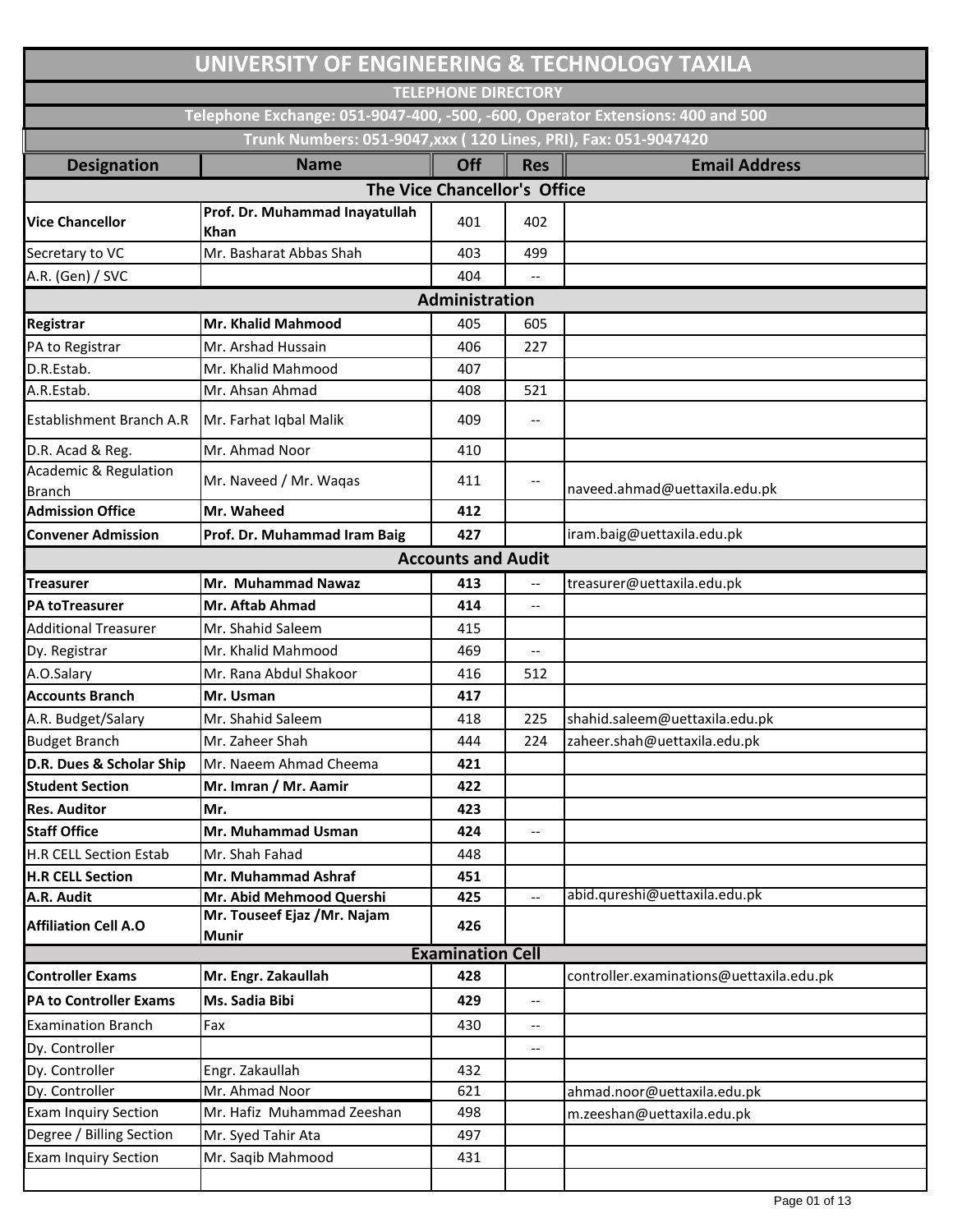|                                                   | UNIVERSITY OF ENGINEERING & TECHNOLOGY TAXILA                                  |                              |                                                     |                                          |
|---------------------------------------------------|--------------------------------------------------------------------------------|------------------------------|-----------------------------------------------------|------------------------------------------|
|                                                   |                                                                                | <b>TELEPHONE DIRECTORY</b>   |                                                     |                                          |
|                                                   | Telephone Exchange: 051-9047-400, -500, -600, Operator Extensions: 400 and 500 |                              |                                                     |                                          |
|                                                   | Trunk Numbers: 051-9047, xxx ( 120 Lines, PRI), Fax: 051-9047420               |                              |                                                     |                                          |
| <b>Designation</b>                                | <b>Name</b>                                                                    | Off                          | <b>Res</b>                                          | <b>Email Address</b>                     |
|                                                   |                                                                                | The Vice Chancellor's Office |                                                     |                                          |
|                                                   | Prof. Dr. Muhammad Inayatullah                                                 |                              |                                                     |                                          |
| <b>Vice Chancellor</b>                            | <b>Khan</b>                                                                    | 401                          | 402                                                 |                                          |
| Secretary to VC                                   | Mr. Basharat Abbas Shah                                                        | 403                          | 499                                                 |                                          |
| A.R. (Gen) / SVC                                  |                                                                                | 404                          |                                                     |                                          |
|                                                   |                                                                                | Administration               |                                                     |                                          |
| <b>Registrar</b>                                  | Mr. Khalid Mahmood                                                             | 405                          | 605                                                 |                                          |
| PA to Registrar                                   | Mr. Arshad Hussain                                                             | 406                          | 227                                                 |                                          |
| D.R.Estab.                                        | Mr. Khalid Mahmood                                                             | 407                          |                                                     |                                          |
| A.R.Estab.                                        | Mr. Ahsan Ahmad                                                                | 408                          | 521                                                 |                                          |
| <b>Establishment Branch A.R</b>                   | Mr. Farhat Iqbal Malik                                                         | 409                          | $\hspace{0.05cm} -\hspace{0.05cm} -\hspace{0.05cm}$ |                                          |
| D.R. Acad & Reg.                                  | Mr. Ahmad Noor                                                                 | 410                          |                                                     |                                          |
| <b>Academic &amp; Regulation</b><br><b>Branch</b> | Mr. Naveed / Mr. Waqas                                                         | 411                          | --                                                  | naveed.ahmad@uettaxila.edu.pk            |
| <b>Admission Office</b>                           | Mr. Waheed                                                                     | 412                          |                                                     |                                          |
| <b>Convener Admission</b>                         | Prof. Dr. Muhammad Iram Baig                                                   | 427                          |                                                     | iram.baig@uettaxila.edu.pk               |
|                                                   |                                                                                | <b>Accounts and Audit</b>    |                                                     |                                          |
| <b>Treasurer</b>                                  | Mr. Muhammad Nawaz                                                             | 413                          | --                                                  | treasurer@uettaxila.edu.pk               |
| <b>PA toTreasurer</b>                             | Mr. Aftab Ahmad                                                                | 414                          | $\overline{\phantom{a}}$                            |                                          |
| <b>Additional Treasurer</b>                       | Mr. Shahid Saleem                                                              | 415                          |                                                     |                                          |
| Dy. Registrar                                     | Mr. Khalid Mahmood                                                             | 469                          | --                                                  |                                          |
| A.O.Salary                                        | Mr. Rana Abdul Shakoor                                                         | 416                          | 512                                                 |                                          |
| <b>Accounts Branch</b>                            | Mr. Usman                                                                      | 417                          |                                                     |                                          |
| A.R. Budget/Salary                                | Mr. Shahid Saleem                                                              | 418                          | 225                                                 | shahid.saleem@uettaxila.edu.pk           |
| <b>Budget Branch</b>                              | Mr. Zaheer Shah                                                                | 444                          | 224                                                 | zaheer.shah@uettaxila.edu.pk             |
| D.R. Dues & Scholar Ship                          | Mr. Naeem Ahmad Cheema                                                         | 421                          |                                                     |                                          |
| <b>Student Section</b>                            | Mr. Imran / Mr. Aamir                                                          | 422                          |                                                     |                                          |
| <b>Res. Auditor</b>                               | Mr.                                                                            | 423                          |                                                     |                                          |
| <b>Staff Office</b>                               | Mr. Muhammad Usman                                                             | 424                          | $\overline{\phantom{a}}$                            |                                          |
| <b>H.R CELL Section Estab</b>                     | Mr. Shah Fahad                                                                 | 448                          |                                                     |                                          |
| <b>H.R CELL Section</b>                           | Mr. Muhammad Ashraf                                                            | 451                          |                                                     |                                          |
| A.R. Audit                                        | Mr. Abid Mehmood Quershi                                                       | 425                          | $\overline{\phantom{a}}$                            | abid.qureshi@uettaxila.edu.pk            |
| <b>Affiliation Cell A.O</b>                       | Mr. Touseef Ejaz /Mr. Najam<br>Munir                                           | 426                          |                                                     |                                          |
|                                                   |                                                                                | <b>Examination Cell</b>      |                                                     |                                          |
| <b>Controller Exams</b>                           | Mr. Engr. Zakaullah                                                            | 428                          |                                                     | controller.examinations@uettaxila.edu.pk |
| <b>PA to Controller Exams</b>                     | Ms. Sadia Bibi                                                                 | 429                          | $\overline{\phantom{a}}$                            |                                          |
| <b>Examination Branch</b>                         | Fax                                                                            | 430                          | $\hspace{0.05cm} -\hspace{0.05cm} -\hspace{0.05cm}$ |                                          |
| Dy. Controller                                    |                                                                                |                              | --                                                  |                                          |
| Dy. Controller                                    | Engr. Zakaullah                                                                | 432                          |                                                     |                                          |
| Dy. Controller                                    | Mr. Ahmad Noor                                                                 | 621                          |                                                     | ahmad.noor@uettaxila.edu.pk              |
| <b>Exam Inquiry Section</b>                       | Mr. Hafiz Muhammad Zeeshan                                                     | 498                          |                                                     | m.zeeshan@uettaxila.edu.pk               |
| Degree / Billing Section                          | Mr. Syed Tahir Ata                                                             | 497                          |                                                     |                                          |
| <b>Exam Inquiry Section</b>                       | Mr. Saqib Mahmood                                                              | 431                          |                                                     |                                          |
|                                                   |                                                                                |                              |                                                     |                                          |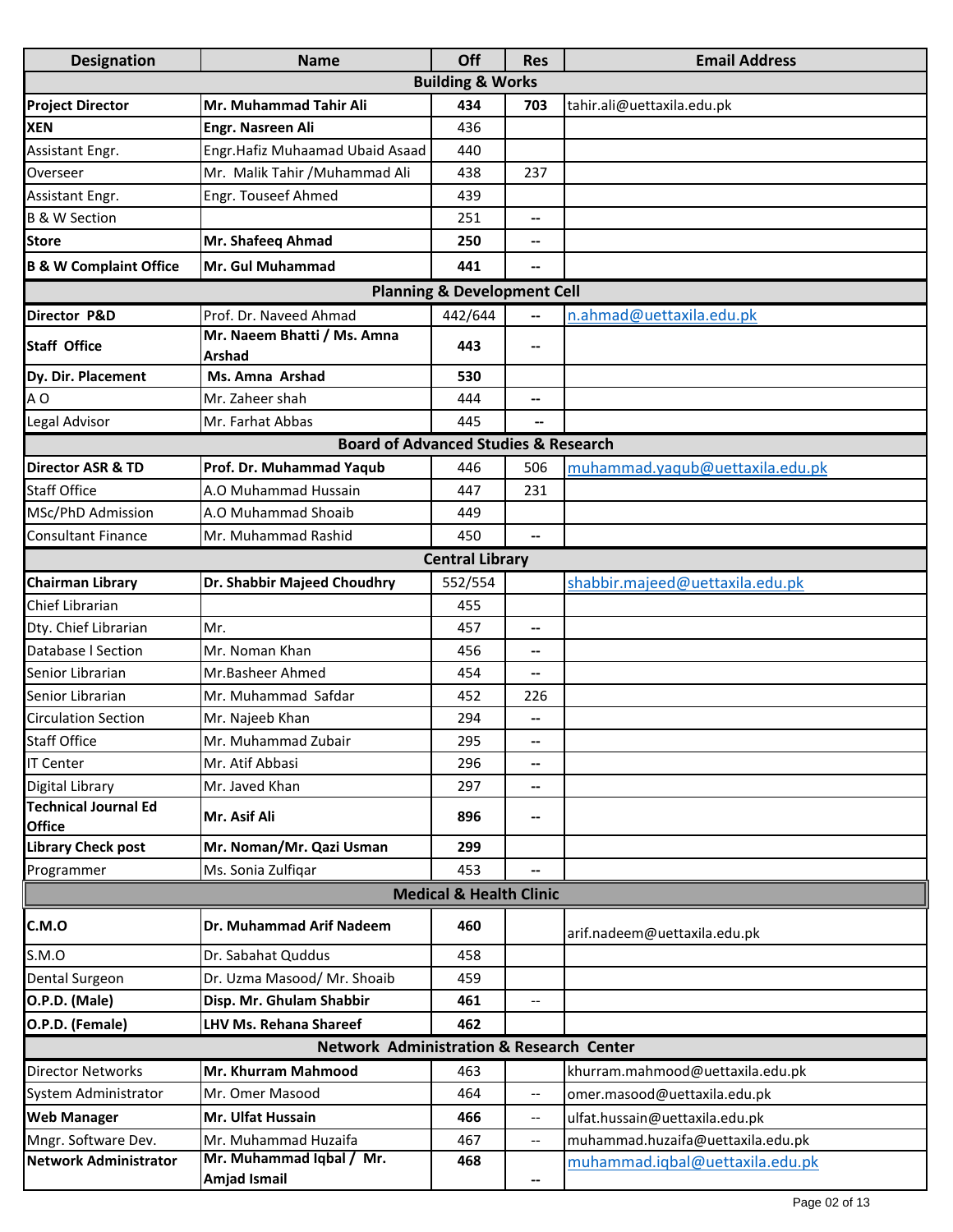| <b>Designation</b>                           | <b>Name</b>                                         | Off                                | <b>Res</b>               | <b>Email Address</b>              |  |  |  |
|----------------------------------------------|-----------------------------------------------------|------------------------------------|--------------------------|-----------------------------------|--|--|--|
|                                              |                                                     | <b>Building &amp; Works</b>        |                          |                                   |  |  |  |
| <b>Project Director</b>                      | Mr. Muhammad Tahir Ali                              | 434                                | 703                      | tahir.ali@uettaxila.edu.pk        |  |  |  |
| <b>XEN</b>                                   | Engr. Nasreen Ali                                   | 436                                |                          |                                   |  |  |  |
| Assistant Engr.                              | Engr.Hafiz Muhaamad Ubaid Asaad                     | 440                                |                          |                                   |  |  |  |
| Overseer                                     | Mr. Malik Tahir / Muhammad Ali                      | 438                                | 237                      |                                   |  |  |  |
| Assistant Engr.                              | Engr. Touseef Ahmed                                 | 439                                |                          |                                   |  |  |  |
| <b>B &amp; W Section</b>                     |                                                     | 251                                | --                       |                                   |  |  |  |
| <b>Store</b>                                 | Mr. Shafeeq Ahmad                                   | 250                                | --                       |                                   |  |  |  |
| <b>B &amp; W Complaint Office</b>            | Mr. Gul Muhammad                                    | 441                                | $\overline{\phantom{0}}$ |                                   |  |  |  |
| <b>Planning &amp; Development Cell</b>       |                                                     |                                    |                          |                                   |  |  |  |
| Director P&D                                 | Prof. Dr. Naveed Ahmad                              | 442/644                            | --                       | n.ahmad@uettaxila.edu.pk          |  |  |  |
| <b>Staff Office</b>                          | Mr. Naeem Bhatti / Ms. Amna<br>Arshad               | 443                                | --                       |                                   |  |  |  |
| Dy. Dir. Placement                           | Ms. Amna Arshad                                     | 530                                |                          |                                   |  |  |  |
| A <sub>O</sub>                               | Mr. Zaheer shah                                     | 444                                | --                       |                                   |  |  |  |
| Legal Advisor                                | Mr. Farhat Abbas                                    | 445                                |                          |                                   |  |  |  |
|                                              | <b>Board of Advanced Studies &amp; Research</b>     |                                    |                          |                                   |  |  |  |
| <b>Director ASR &amp; TD</b>                 | Prof. Dr. Muhammad Yaqub                            | 446                                | 506                      | muhammad.yaqub@uettaxila.edu.pk   |  |  |  |
| <b>Staff Office</b>                          | A.O Muhammad Hussain                                | 447                                | 231                      |                                   |  |  |  |
| MSc/PhD Admission                            | A.O Muhammad Shoaib                                 | 449                                |                          |                                   |  |  |  |
| <b>Consultant Finance</b>                    | Mr. Muhammad Rashid                                 | 450                                |                          |                                   |  |  |  |
|                                              |                                                     | <b>Central Library</b>             |                          |                                   |  |  |  |
| <b>Chairman Library</b>                      | Dr. Shabbir Majeed Choudhry                         | 552/554                            |                          | shabbir.majeed@uettaxila.edu.pk   |  |  |  |
| Chief Librarian                              |                                                     | 455                                |                          |                                   |  |  |  |
| Dty. Chief Librarian                         | Mr.                                                 | 457                                | --                       |                                   |  |  |  |
| Database I Section                           | Mr. Noman Khan                                      | 456                                | --                       |                                   |  |  |  |
| Senior Librarian                             | Mr.Basheer Ahmed                                    | 454                                | --                       |                                   |  |  |  |
| Senior Librarian                             | Mr. Muhammad Safdar                                 | 452                                | 226                      |                                   |  |  |  |
| <b>Circulation Section</b>                   | Mr. Najeeb Khan                                     | 294                                | --                       |                                   |  |  |  |
| <b>Staff Office</b>                          | Mr. Muhammad Zubair                                 | 295                                |                          |                                   |  |  |  |
| <b>IT Center</b>                             | Mr. Atif Abbasi                                     | 296                                | --                       |                                   |  |  |  |
| <b>Digital Library</b>                       | Mr. Javed Khan                                      | 297                                | --                       |                                   |  |  |  |
| <b>Technical Journal Ed</b><br><b>Office</b> | Mr. Asif Ali                                        | 896                                | --                       |                                   |  |  |  |
| <b>Library Check post</b>                    | Mr. Noman/Mr. Qazi Usman                            | 299                                |                          |                                   |  |  |  |
| Programmer                                   | Ms. Sonia Zulfiqar                                  | 453                                |                          |                                   |  |  |  |
|                                              |                                                     | <b>Medical &amp; Health Clinic</b> |                          |                                   |  |  |  |
| C.M.O                                        | Dr. Muhammad Arif Nadeem                            | 460                                |                          | arif.nadeem@uettaxila.edu.pk      |  |  |  |
| S.M.O                                        | Dr. Sabahat Quddus                                  | 458                                |                          |                                   |  |  |  |
| Dental Surgeon                               | Dr. Uzma Masood/ Mr. Shoaib                         | 459                                |                          |                                   |  |  |  |
| O.P.D. (Male)                                | Disp. Mr. Ghulam Shabbir                            | 461                                |                          |                                   |  |  |  |
| O.P.D. (Female)                              | <b>LHV Ms. Rehana Shareef</b>                       | 462                                |                          |                                   |  |  |  |
|                                              | <b>Network Administration &amp; Research Center</b> |                                    |                          |                                   |  |  |  |
| <b>Director Networks</b>                     | <b>Mr. Khurram Mahmood</b>                          | 463                                |                          | khurram.mahmood@uettaxila.edu.pk  |  |  |  |
| System Administrator                         | Mr. Omer Masood                                     | 464                                | $\overline{\phantom{a}}$ | omer.masood@uettaxila.edu.pk      |  |  |  |
| <b>Web Manager</b>                           | <b>Mr. Ulfat Hussain</b>                            | 466                                | --                       | ulfat.hussain@uettaxila.edu.pk    |  |  |  |
| Mngr. Software Dev.                          | Mr. Muhammad Huzaifa                                | 467                                | --                       | muhammad.huzaifa@uettaxila.edu.pk |  |  |  |
| <b>Network Administrator</b>                 | Mr. Muhammad Iqbal / Mr.<br>Amjad Ismail            | 468                                |                          | muhammad.iqbal@uettaxila.edu.pk   |  |  |  |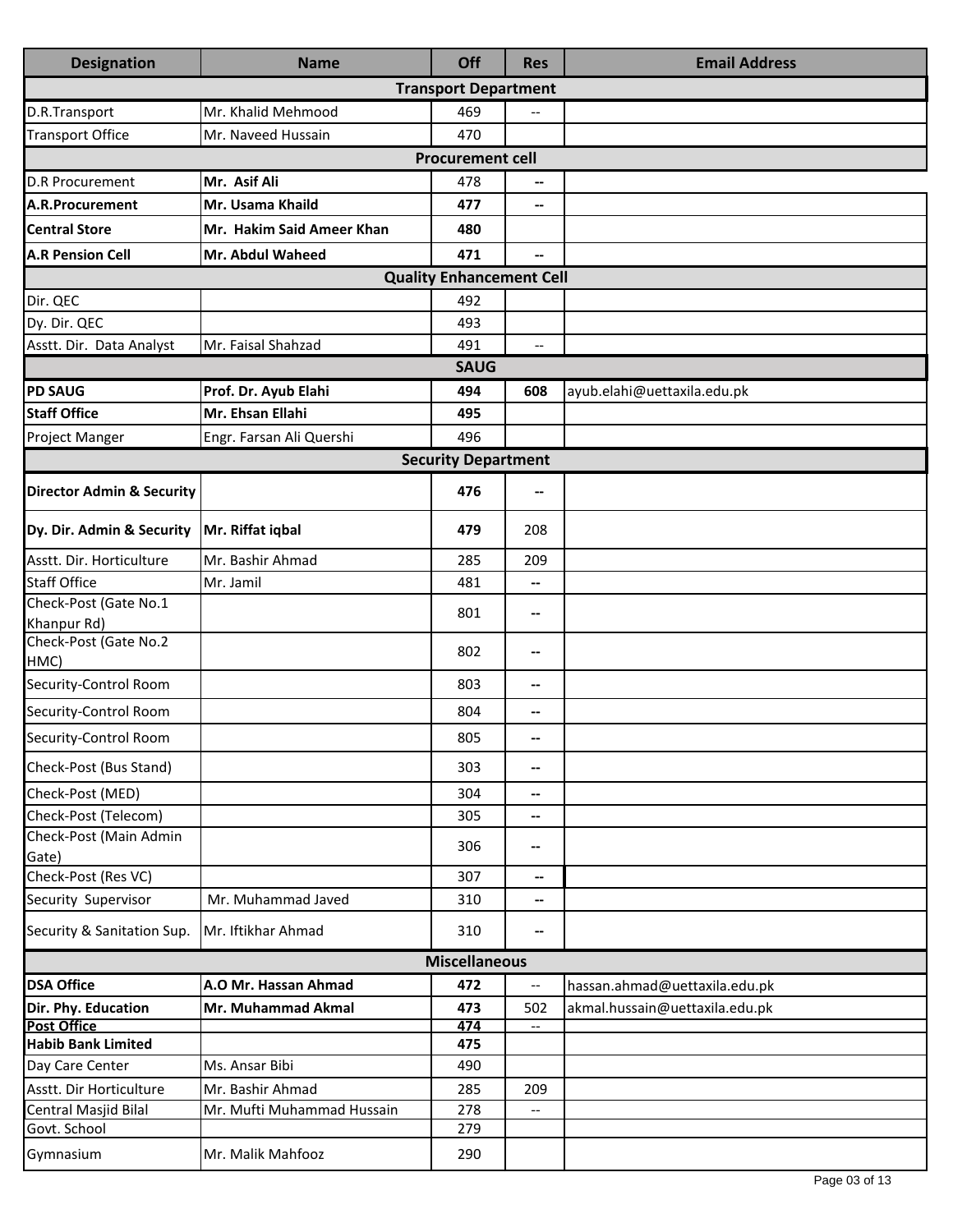| <b>Designation</b>                              | <b>Name</b>                | Off                             | <b>Res</b>               | <b>Email Address</b>           |  |  |
|-------------------------------------------------|----------------------------|---------------------------------|--------------------------|--------------------------------|--|--|
|                                                 |                            | <b>Transport Department</b>     |                          |                                |  |  |
| D.R.Transport                                   | Mr. Khalid Mehmood         | 469                             |                          |                                |  |  |
| <b>Transport Office</b>                         | Mr. Naveed Hussain         | 470                             |                          |                                |  |  |
|                                                 |                            | <b>Procurement cell</b>         |                          |                                |  |  |
| <b>D.R Procurement</b>                          | Mr. Asif Ali               | 478                             | $\overline{\phantom{a}}$ |                                |  |  |
| A.R.Procurement                                 | Mr. Usama Khaild           | 477                             | $-$                      |                                |  |  |
| <b>Central Store</b>                            | Mr. Hakim Said Ameer Khan  | 480                             |                          |                                |  |  |
| <b>A.R Pension Cell</b>                         | <b>Mr. Abdul Waheed</b>    | 471                             | ⊷                        |                                |  |  |
|                                                 |                            | <b>Quality Enhancement Cell</b> |                          |                                |  |  |
| Dir. QEC                                        |                            | 492                             |                          |                                |  |  |
| Dy. Dir. QEC                                    |                            | 493                             |                          |                                |  |  |
| Asstt. Dir. Data Analyst                        | Mr. Faisal Shahzad         | 491                             | $\overline{\phantom{a}}$ |                                |  |  |
|                                                 |                            | <b>SAUG</b>                     |                          |                                |  |  |
| <b>PD SAUG</b>                                  | Prof. Dr. Ayub Elahi       | 494                             | 608                      | ayub.elahi@uettaxila.edu.pk    |  |  |
| <b>Staff Office</b>                             | Mr. Ehsan Ellahi           | 495                             |                          |                                |  |  |
| Project Manger                                  | Engr. Farsan Ali Quershi   | 496                             |                          |                                |  |  |
|                                                 |                            | <b>Security Department</b>      |                          |                                |  |  |
| <b>Director Admin &amp; Security</b>            |                            | 476                             | --                       |                                |  |  |
| Dy. Dir. Admin & Security                       | Mr. Riffat iqbal           | 479                             | 208                      |                                |  |  |
| Asstt. Dir. Horticulture                        | Mr. Bashir Ahmad           | 285                             | 209                      |                                |  |  |
| <b>Staff Office</b>                             | Mr. Jamil                  | 481                             | --                       |                                |  |  |
| Check-Post (Gate No.1                           |                            | 801                             | --                       |                                |  |  |
| Khanpur Rd)<br>Check-Post (Gate No.2            |                            |                                 |                          |                                |  |  |
| HMC)                                            |                            | 802                             | --                       |                                |  |  |
| Security-Control Room                           |                            | 803                             | --                       |                                |  |  |
| Security-Control Room                           |                            | 804                             | --                       |                                |  |  |
| Security-Control Room                           |                            | 805                             | --                       |                                |  |  |
| Check-Post (Bus Stand)                          |                            | 303                             | --                       |                                |  |  |
| Check-Post (MED)                                |                            | 304                             | $\overline{\phantom{a}}$ |                                |  |  |
| Check-Post (Telecom)                            |                            | 305                             | --                       |                                |  |  |
| Check-Post (Main Admin<br>Gate)                 |                            | 306                             | --                       |                                |  |  |
| Check-Post (Res VC)                             |                            | 307                             | $\overline{\phantom{a}}$ |                                |  |  |
| Security Supervisor                             | Mr. Muhammad Javed         | 310                             | $\overline{\phantom{a}}$ |                                |  |  |
| Security & Sanitation Sup.                      | Mr. Iftikhar Ahmad         | 310                             | $\overline{\phantom{a}}$ |                                |  |  |
| <b>Miscellaneous</b>                            |                            |                                 |                          |                                |  |  |
| <b>DSA Office</b>                               | A.O Mr. Hassan Ahmad       | 472                             | --                       | hassan.ahmad@uettaxila.edu.pk  |  |  |
| Dir. Phy. Education                             | Mr. Muhammad Akmal         | 473                             | 502                      | akmal.hussain@uettaxila.edu.pk |  |  |
| <b>Post Office</b><br><b>Habib Bank Limited</b> |                            | 474                             | $\qquad \qquad -$        |                                |  |  |
| Day Care Center                                 | Ms. Ansar Bibi             | 475<br>490                      |                          |                                |  |  |
| Asstt. Dir Horticulture                         | Mr. Bashir Ahmad           | 285                             | 209                      |                                |  |  |
| Central Masjid Bilal                            | Mr. Mufti Muhammad Hussain | 278                             |                          |                                |  |  |
| Govt. School                                    |                            | 279                             |                          |                                |  |  |
| Gymnasium                                       | Mr. Malik Mahfooz          | 290                             |                          |                                |  |  |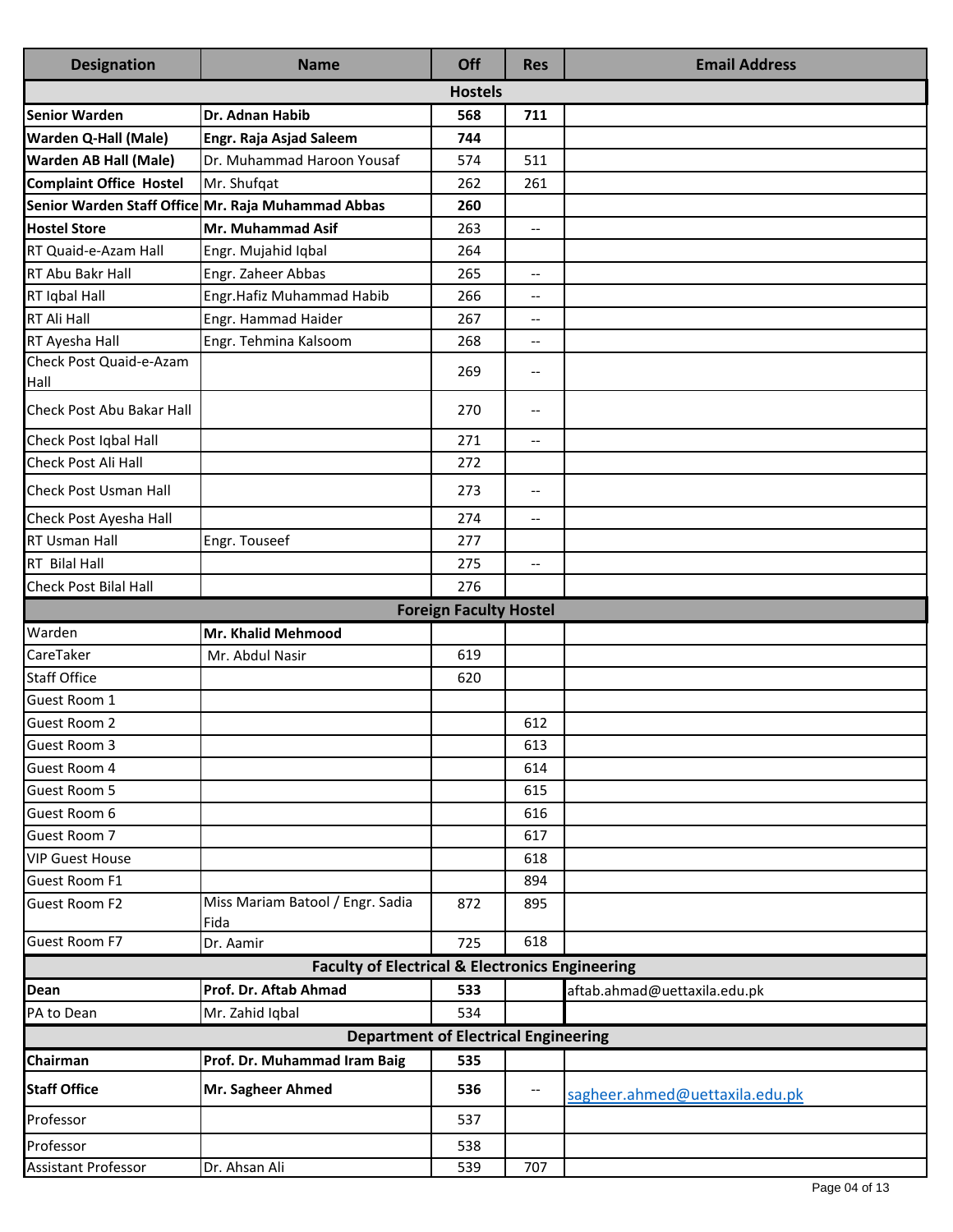| <b>Designation</b>             | <b>Name</b>                                                | Off                           | <b>Res</b>                          | <b>Email Address</b>           |
|--------------------------------|------------------------------------------------------------|-------------------------------|-------------------------------------|--------------------------------|
|                                |                                                            | <b>Hostels</b>                |                                     |                                |
| Senior Warden                  | Dr. Adnan Habib                                            | 568                           | 711                                 |                                |
| <b>Warden Q-Hall (Male)</b>    | Engr. Raja Asjad Saleem                                    | 744                           |                                     |                                |
| <b>Warden AB Hall (Male)</b>   | Dr. Muhammad Haroon Yousaf                                 | 574                           | 511                                 |                                |
| <b>Complaint Office Hostel</b> | Mr. Shufqat                                                | 262                           | 261                                 |                                |
|                                | Senior Warden Staff Office Mr. Raja Muhammad Abbas         | 260                           |                                     |                                |
| <b>Hostel Store</b>            | Mr. Muhammad Asif                                          | 263                           | $\overline{a}$                      |                                |
| RT Quaid-e-Azam Hall           | Engr. Mujahid Iqbal                                        | 264                           |                                     |                                |
| <b>RT Abu Bakr Hall</b>        | Engr. Zaheer Abbas                                         | 265                           | $\overline{\phantom{a}}$            |                                |
| RT Iqbal Hall                  | Engr.Hafiz Muhammad Habib                                  | 266                           | $\overline{\phantom{a}}$            |                                |
| RT Ali Hall                    | Engr. Hammad Haider                                        | 267                           | $\overline{\phantom{a}}$            |                                |
| RT Ayesha Hall                 | Engr. Tehmina Kalsoom                                      | 268                           | $\overline{\phantom{a}}$            |                                |
| Check Post Quaid-e-Azam        |                                                            | 269                           | $\hspace{0.05cm}$ $\hspace{0.05cm}$ |                                |
| Hall                           |                                                            |                               |                                     |                                |
| Check Post Abu Bakar Hall      |                                                            | 270                           | $\hspace{0.05cm}$ $\hspace{0.05cm}$ |                                |
| Check Post Iqbal Hall          |                                                            | 271                           | $\overline{\phantom{a}}$            |                                |
| Check Post Ali Hall            |                                                            | 272                           |                                     |                                |
| <b>Check Post Usman Hall</b>   |                                                            | 273                           | $\overline{\phantom{a}}$            |                                |
| Check Post Ayesha Hall         |                                                            | 274                           | $\overline{\phantom{a}}$            |                                |
| RT Usman Hall                  | Engr. Touseef                                              | 277                           |                                     |                                |
| <b>RT</b> Bilal Hall           |                                                            | 275                           | $\overline{\phantom{a}}$            |                                |
| Check Post Bilal Hall          |                                                            | 276                           |                                     |                                |
|                                |                                                            | <b>Foreign Faculty Hostel</b> |                                     |                                |
| Warden                         | Mr. Khalid Mehmood                                         |                               |                                     |                                |
| CareTaker                      | Mr. Abdul Nasir                                            | 619                           |                                     |                                |
| <b>Staff Office</b>            |                                                            | 620                           |                                     |                                |
| Guest Room 1                   |                                                            |                               |                                     |                                |
| Guest Room 2                   |                                                            |                               | 612                                 |                                |
| Guest Room 3                   |                                                            |                               | 613                                 |                                |
| Guest Room 4                   |                                                            |                               | 614                                 |                                |
| <b>Guest Room 5</b>            |                                                            |                               | 615                                 |                                |
| Guest Room 6                   |                                                            |                               | 616                                 |                                |
| Guest Room 7                   |                                                            |                               | 617                                 |                                |
| <b>VIP Guest House</b>         |                                                            |                               | 618                                 |                                |
| Guest Room F1                  |                                                            |                               | 894                                 |                                |
| <b>Guest Room F2</b>           | Miss Mariam Batool / Engr. Sadia<br>Fida                   | 872                           | 895                                 |                                |
| <b>Guest Room F7</b>           | Dr. Aamir                                                  | 725                           | 618                                 |                                |
|                                | <b>Faculty of Electrical &amp; Electronics Engineering</b> |                               |                                     |                                |
| Dean                           | Prof. Dr. Aftab Ahmad                                      | 533                           |                                     | aftab.ahmad@uettaxila.edu.pk   |
| PA to Dean                     | Mr. Zahid Iqbal                                            | 534                           |                                     |                                |
|                                | <b>Department of Electrical Engineering</b>                |                               |                                     |                                |
| Chairman                       | Prof. Dr. Muhammad Iram Baig                               | 535                           |                                     |                                |
| <b>Staff Office</b>            | Mr. Sagheer Ahmed                                          | 536                           | $\overline{\phantom{a}}$            | sagheer.ahmed@uettaxila.edu.pk |
| Professor                      |                                                            | 537                           |                                     |                                |
| Professor                      |                                                            | 538                           |                                     |                                |
| Assistant Professor            | Dr. Ahsan Ali                                              | 539                           | 707                                 |                                |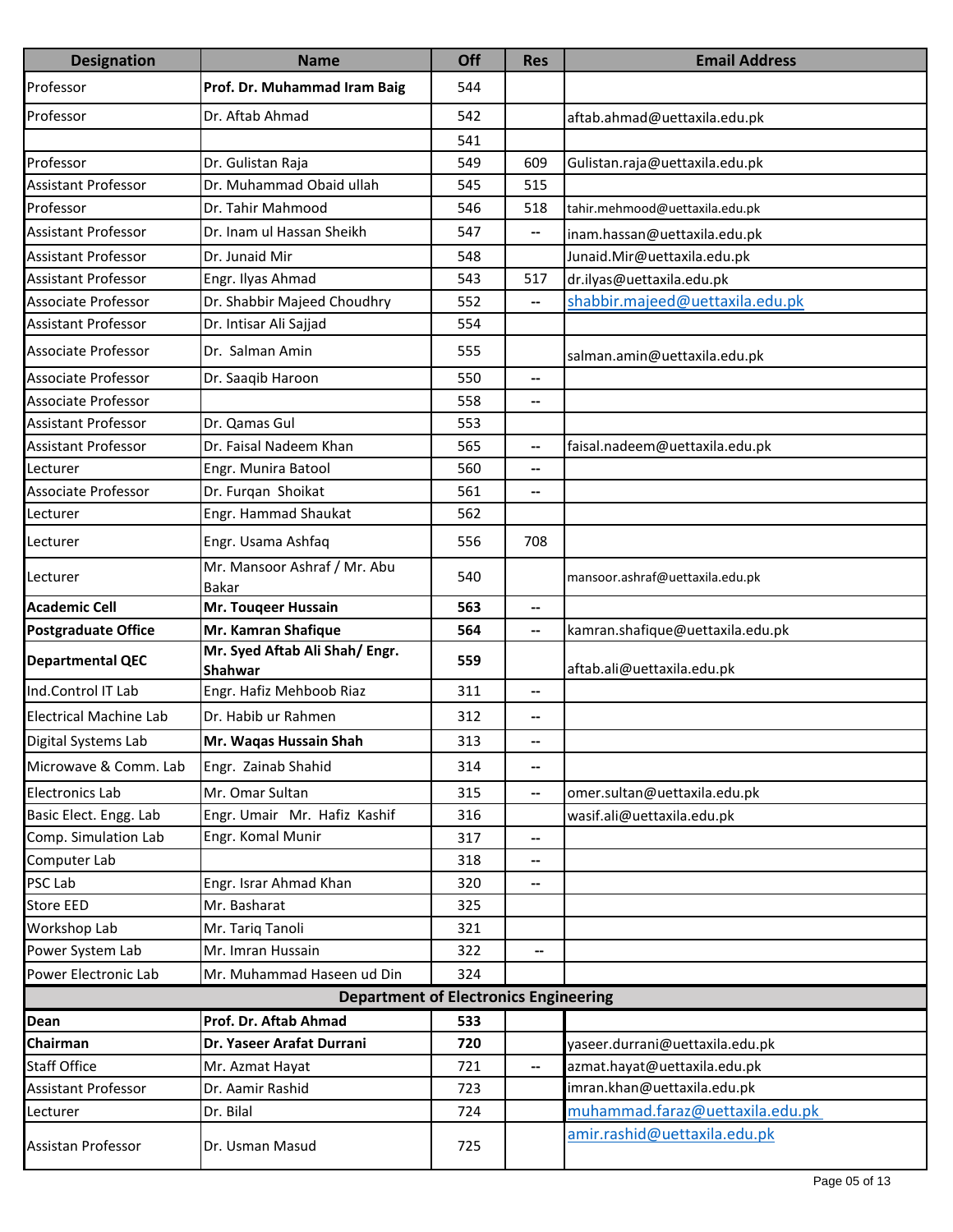| <b>Designation</b>            | <b>Name</b>                                  | Off | <b>Res</b>               | <b>Email Address</b>             |
|-------------------------------|----------------------------------------------|-----|--------------------------|----------------------------------|
| Professor                     | Prof. Dr. Muhammad Iram Baig                 | 544 |                          |                                  |
| Professor                     | Dr. Aftab Ahmad                              | 542 |                          | aftab.ahmad@uettaxila.edu.pk     |
|                               |                                              | 541 |                          |                                  |
| Professor                     | Dr. Gulistan Raja                            | 549 | 609                      | Gulistan.raja@uettaxila.edu.pk   |
| <b>Assistant Professor</b>    | Dr. Muhammad Obaid ullah                     | 545 | 515                      |                                  |
| Professor                     | Dr. Tahir Mahmood                            | 546 | 518                      | tahir.mehmood@uettaxila.edu.pk   |
| <b>Assistant Professor</b>    | Dr. Inam ul Hassan Sheikh                    | 547 | $\overline{\phantom{a}}$ | inam.hassan@uettaxila.edu.pk     |
| <b>Assistant Professor</b>    | Dr. Junaid Mir                               | 548 |                          | Junaid.Mir@uettaxila.edu.pk      |
| Assistant Professor           | Engr. Ilyas Ahmad                            | 543 | 517                      | dr.ilyas@uettaxila.edu.pk        |
| <b>Associate Professor</b>    | Dr. Shabbir Majeed Choudhry                  | 552 | --                       | shabbir.majeed@uettaxila.edu.pk  |
| Assistant Professor           | Dr. Intisar Ali Sajjad                       | 554 |                          |                                  |
| <b>Associate Professor</b>    | Dr. Salman Amin                              | 555 |                          | salman.amin@uettaxila.edu.pk     |
| <b>Associate Professor</b>    | Dr. Saaqib Haroon                            | 550 | --                       |                                  |
| Associate Professor           |                                              | 558 | $\overline{\phantom{a}}$ |                                  |
| <b>Assistant Professor</b>    | Dr. Qamas Gul                                | 553 |                          |                                  |
| Assistant Professor           | Dr. Faisal Nadeem Khan                       | 565 | --                       | faisal.nadeem@uettaxila.edu.pk   |
| Lecturer                      | Engr. Munira Batool                          | 560 | $\overline{\phantom{a}}$ |                                  |
| Associate Professor           | Dr. Furqan Shoikat                           | 561 | --                       |                                  |
| Lecturer                      | Engr. Hammad Shaukat                         | 562 |                          |                                  |
| Lecturer                      | Engr. Usama Ashfaq                           | 556 | 708                      |                                  |
| Lecturer                      | Mr. Mansoor Ashraf / Mr. Abu<br>Bakar        | 540 |                          | mansoor.ashraf@uettaxila.edu.pk  |
| <b>Academic Cell</b>          | Mr. Touqeer Hussain                          | 563 | $\overline{\phantom{a}}$ |                                  |
| <b>Postgraduate Office</b>    | Mr. Kamran Shafique                          | 564 | --                       | kamran.shafique@uettaxila.edu.pk |
| <b>Departmental QEC</b>       | Mr. Syed Aftab Ali Shah/ Engr.<br>Shahwar    | 559 |                          | aftab.ali@uettaxila.edu.pk       |
| Ind.Control IT Lab            | Engr. Hafiz Mehboob Riaz                     | 311 | $\overline{\phantom{a}}$ |                                  |
| <b>Electrical Machine Lab</b> | Dr. Habib ur Rahmen                          | 312 | --                       |                                  |
| Digital Systems Lab           | Mr. Waqas Hussain Shah                       | 313 |                          |                                  |
| Microwave & Comm. Lab         | Engr. Zainab Shahid                          | 314 | $\overline{\phantom{a}}$ |                                  |
| <b>Electronics Lab</b>        | Mr. Omar Sultan                              | 315 | $\overline{\phantom{a}}$ | omer.sultan@uettaxila.edu.pk     |
| Basic Elect. Engg. Lab        | Engr. Umair Mr. Hafiz Kashif                 | 316 |                          | wasif.ali@uettaxila.edu.pk       |
| Comp. Simulation Lab          | Engr. Komal Munir                            | 317 | $\overline{\phantom{a}}$ |                                  |
| Computer Lab                  |                                              | 318 | $\overline{\phantom{a}}$ |                                  |
| PSC Lab                       | Engr. Israr Ahmad Khan                       | 320 | --                       |                                  |
| Store EED                     | Mr. Basharat                                 | 325 |                          |                                  |
| Workshop Lab                  | Mr. Tariq Tanoli                             | 321 |                          |                                  |
| Power System Lab              | Mr. Imran Hussain                            | 322 | $\overline{\phantom{a}}$ |                                  |
| Power Electronic Lab          | Mr. Muhammad Haseen ud Din                   | 324 |                          |                                  |
|                               | <b>Department of Electronics Engineering</b> |     |                          |                                  |
| Dean                          | Prof. Dr. Aftab Ahmad                        | 533 |                          |                                  |
| Chairman                      | Dr. Yaseer Arafat Durrani                    | 720 |                          | yaseer.durrani@uettaxila.edu.pk  |
| <b>Staff Office</b>           | Mr. Azmat Hayat                              | 721 | $\overline{\phantom{a}}$ | azmat.hayat@uettaxila.edu.pk     |
| <b>Assistant Professor</b>    | Dr. Aamir Rashid                             | 723 |                          | imran.khan@uettaxila.edu.pk      |
| Lecturer                      | Dr. Bilal                                    | 724 |                          | muhammad.faraz@uettaxila.edu.pk  |
| Assistan Professor            | Dr. Usman Masud                              | 725 |                          | amir.rashid@uettaxila.edu.pk     |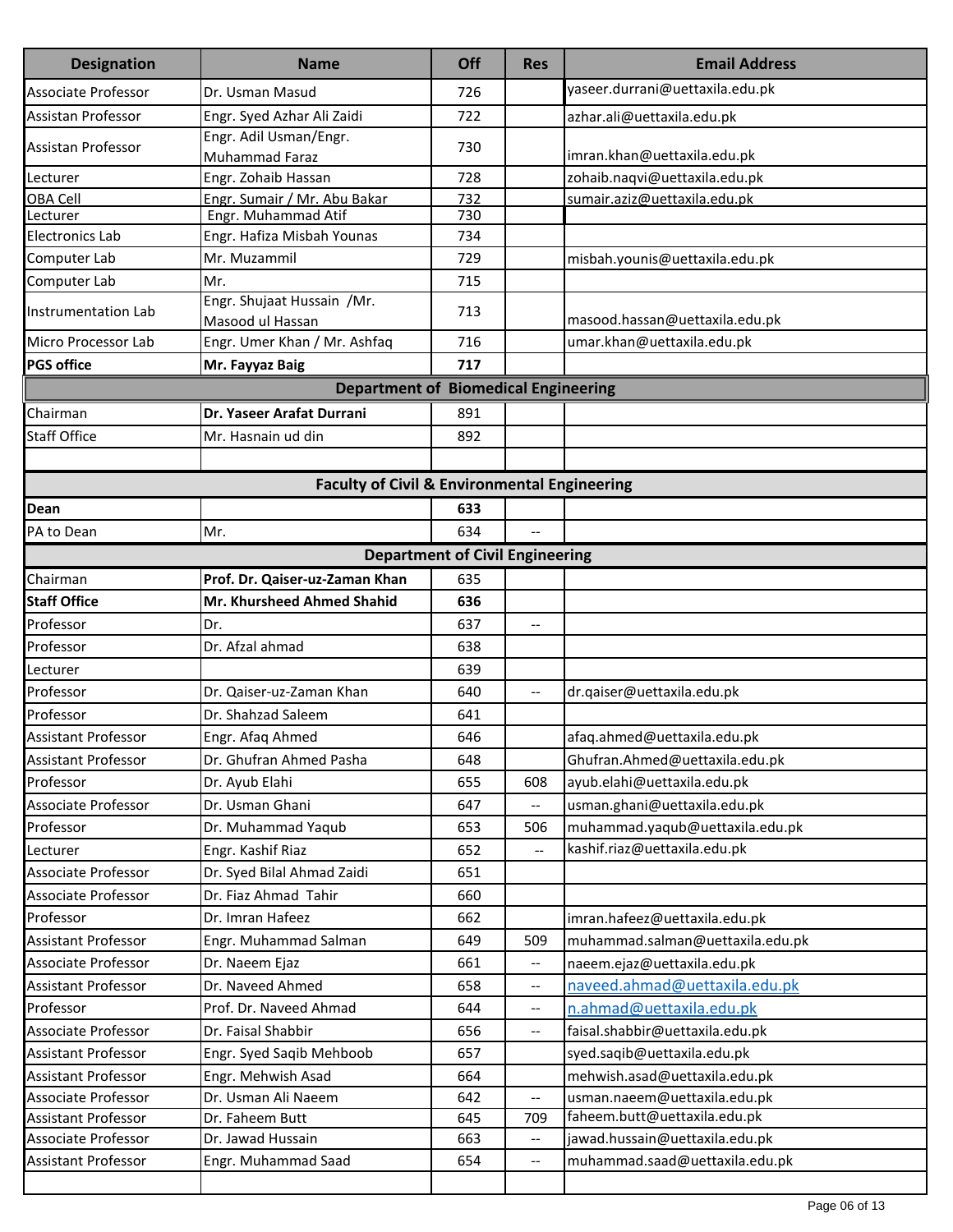| <b>Designation</b>                          | <b>Name</b>                                             | Off                                    | <b>Res</b>               | <b>Email Address</b>             |  |  |  |
|---------------------------------------------|---------------------------------------------------------|----------------------------------------|--------------------------|----------------------------------|--|--|--|
| <b>Associate Professor</b>                  | Dr. Usman Masud                                         | 726                                    |                          | yaseer.durrani@uettaxila.edu.pk  |  |  |  |
| Assistan Professor                          | Engr. Syed Azhar Ali Zaidi                              | 722                                    |                          | azhar.ali@uettaxila.edu.pk       |  |  |  |
| Assistan Professor                          | Engr. Adil Usman/Engr.                                  | 730                                    |                          |                                  |  |  |  |
|                                             | Muhammad Faraz                                          |                                        |                          | imran.khan@uettaxila.edu.pk      |  |  |  |
| Lecturer                                    | Engr. Zohaib Hassan                                     | 728                                    |                          | zohaib.naqvi@uettaxila.edu.pk    |  |  |  |
| OBA Cell                                    | Engr. Sumair / Mr. Abu Bakar<br>Engr. Muhammad Atif     | 732<br>730                             |                          | sumair.aziz@uettaxila.edu.pk     |  |  |  |
| Lecturer<br><b>Electronics Lab</b>          | Engr. Hafiza Misbah Younas                              | 734                                    |                          |                                  |  |  |  |
| Computer Lab                                | Mr. Muzammil                                            | 729                                    |                          | misbah.younis@uettaxila.edu.pk   |  |  |  |
| Computer Lab                                | Mr.                                                     | 715                                    |                          |                                  |  |  |  |
| Instrumentation Lab                         | Engr. Shujaat Hussain /Mr.                              | 713                                    |                          |                                  |  |  |  |
|                                             | Masood ul Hassan                                        |                                        |                          | masood.hassan@uettaxila.edu.pk   |  |  |  |
| Micro Processor Lab                         | Engr. Umer Khan / Mr. Ashfaq                            | 716                                    |                          | umar.khan@uettaxila.edu.pk       |  |  |  |
| <b>PGS office</b>                           | Mr. Fayyaz Baig                                         | 717                                    |                          |                                  |  |  |  |
| <b>Department of Biomedical Engineering</b> |                                                         |                                        |                          |                                  |  |  |  |
| Chairman                                    | Dr. Yaseer Arafat Durrani                               | 891                                    |                          |                                  |  |  |  |
| <b>Staff Office</b>                         | Mr. Hasnain ud din                                      | 892                                    |                          |                                  |  |  |  |
|                                             |                                                         |                                        |                          |                                  |  |  |  |
|                                             | <b>Faculty of Civil &amp; Environmental Engineering</b> |                                        |                          |                                  |  |  |  |
| Dean                                        |                                                         | 633                                    |                          |                                  |  |  |  |
| PA to Dean                                  | Mr.                                                     | 634                                    |                          |                                  |  |  |  |
|                                             |                                                         | <b>Department of Civil Engineering</b> |                          |                                  |  |  |  |
| Chairman                                    | Prof. Dr. Qaiser-uz-Zaman Khan                          | 635                                    |                          |                                  |  |  |  |
| <b>Staff Office</b>                         | <b>Mr. Khursheed Ahmed Shahid</b>                       | 636                                    |                          |                                  |  |  |  |
| Professor                                   | Dr.                                                     | 637                                    | --                       |                                  |  |  |  |
| Professor                                   | Dr. Afzal ahmad                                         | 638                                    |                          |                                  |  |  |  |
| Lecturer                                    |                                                         | 639                                    |                          |                                  |  |  |  |
| Professor                                   | Dr. Qaiser-uz-Zaman Khan                                | 640                                    | --                       | dr.qaiser@uettaxila.edu.pk       |  |  |  |
| Professor                                   | Dr. Shahzad Saleem                                      | 641                                    |                          |                                  |  |  |  |
| <b>Assistant Professor</b>                  | Engr. Afaq Ahmed                                        | 646                                    |                          | afaq.ahmed@uettaxila.edu.pk      |  |  |  |
| Assistant Professor                         | Dr. Ghufran Ahmed Pasha                                 | 648                                    |                          | Ghufran.Ahmed@uettaxila.edu.pk   |  |  |  |
| Professor                                   | Dr. Ayub Elahi                                          | 655                                    | 608                      | ayub.elahi@uettaxila.edu.pk      |  |  |  |
| Associate Professor                         | Dr. Usman Ghani                                         | 647                                    |                          | usman.ghani@uettaxila.edu.pk     |  |  |  |
| Professor                                   | Dr. Muhammad Yaqub                                      | 653                                    | 506                      | muhammad.yaqub@uettaxila.edu.pk  |  |  |  |
| Lecturer                                    | Engr. Kashif Riaz                                       | 652                                    |                          | kashif.riaz@uettaxila.edu.pk     |  |  |  |
| <b>Associate Professor</b>                  | Dr. Syed Bilal Ahmad Zaidi                              | 651                                    |                          |                                  |  |  |  |
| Associate Professor                         | Dr. Fiaz Ahmad Tahir                                    | 660                                    |                          |                                  |  |  |  |
| Professor                                   | Dr. Imran Hafeez                                        | 662                                    |                          | imran.hafeez@uettaxila.edu.pk    |  |  |  |
| <b>Assistant Professor</b>                  | Engr. Muhammad Salman                                   | 649                                    | 509                      | muhammad.salman@uettaxila.edu.pk |  |  |  |
| Associate Professor                         | Dr. Naeem Ejaz                                          | 661                                    | --                       | naeem.ejaz@uettaxila.edu.pk      |  |  |  |
| Assistant Professor                         | Dr. Naveed Ahmed                                        | 658                                    | $\overline{\phantom{a}}$ | naveed.ahmad@uettaxila.edu.pk    |  |  |  |
| Professor                                   | Prof. Dr. Naveed Ahmad                                  | 644                                    | $\overline{\phantom{a}}$ | n.ahmad@uettaxila.edu.pk         |  |  |  |
| Associate Professor                         | Dr. Faisal Shabbir                                      | 656                                    | --                       | faisal.shabbir@uettaxila.edu.pk  |  |  |  |
| <b>Assistant Professor</b>                  | Engr. Syed Saqib Mehboob                                | 657                                    |                          | syed.saqib@uettaxila.edu.pk      |  |  |  |
| <b>Assistant Professor</b>                  | Engr. Mehwish Asad                                      | 664                                    |                          | mehwish.asad@uettaxila.edu.pk    |  |  |  |
| Associate Professor                         | Dr. Usman Ali Naeem                                     | 642                                    | u.                       | usman.naeem@uettaxila.edu.pk     |  |  |  |
| Assistant Professor                         | Dr. Faheem Butt                                         | 645                                    | 709                      | faheem.butt@uettaxila.edu.pk     |  |  |  |
| Associate Professor<br>Assistant Professor  | Dr. Jawad Hussain                                       | 663                                    | $\overline{\phantom{a}}$ | jawad.hussain@uettaxila.edu.pk   |  |  |  |
|                                             | Engr. Muhammad Saad                                     | 654                                    | $\overline{\phantom{a}}$ | muhammad.saad@uettaxila.edu.pk   |  |  |  |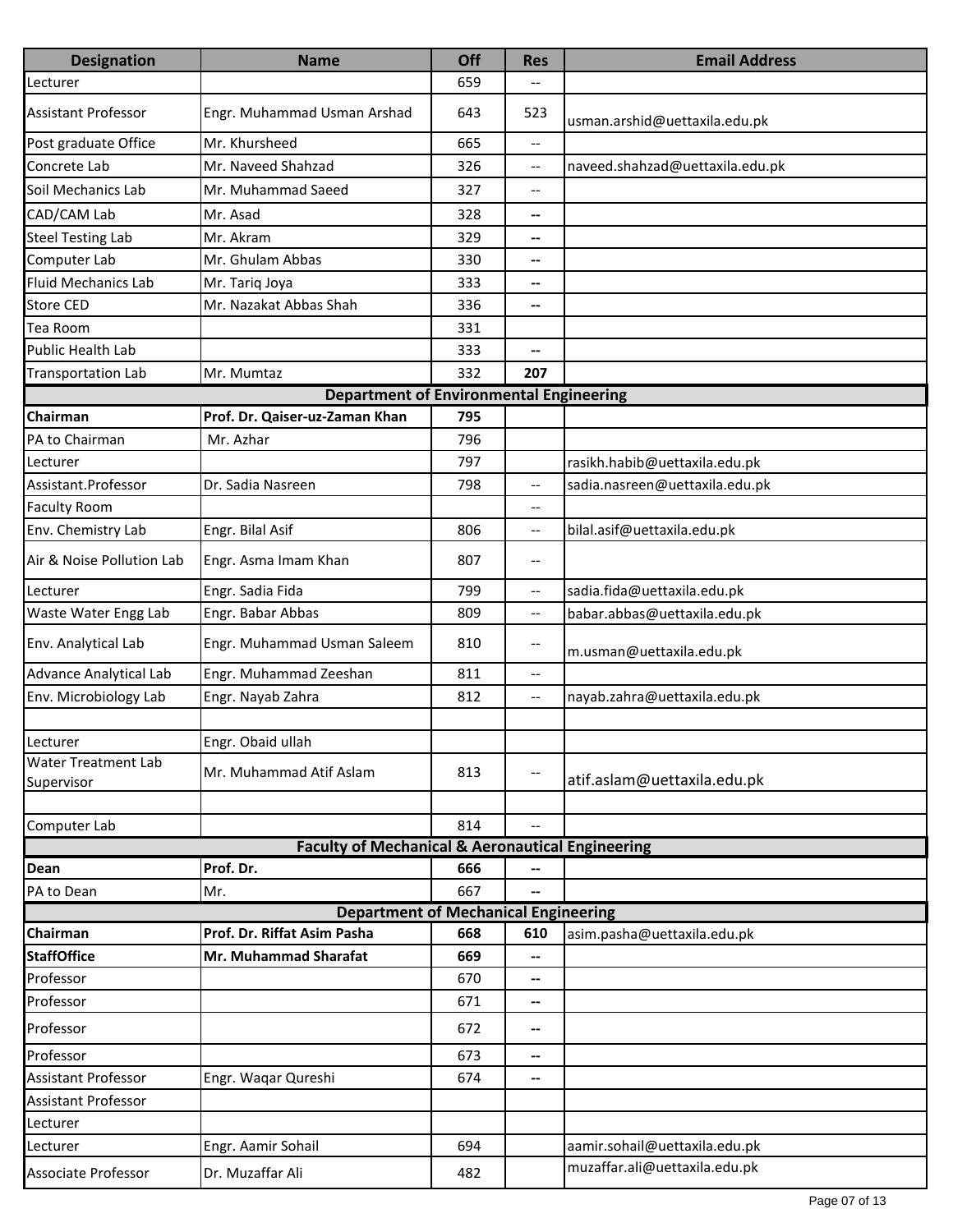| <b>Designation</b>            | <b>Name</b>                                                 | Off | <b>Res</b>                          | <b>Email Address</b>            |
|-------------------------------|-------------------------------------------------------------|-----|-------------------------------------|---------------------------------|
| Lecturer                      |                                                             | 659 |                                     |                                 |
| <b>Assistant Professor</b>    | Engr. Muhammad Usman Arshad                                 | 643 | 523                                 | usman.arshid@uettaxila.edu.pk   |
| Post graduate Office          | Mr. Khursheed                                               | 665 | $\overline{\phantom{a}}$            |                                 |
| Concrete Lab                  | Mr. Naveed Shahzad                                          | 326 | --                                  | naveed.shahzad@uettaxila.edu.pk |
| Soil Mechanics Lab            | Mr. Muhammad Saeed                                          | 327 | $\overline{\phantom{a}}$            |                                 |
| CAD/CAM Lab                   | Mr. Asad                                                    | 328 | --                                  |                                 |
| <b>Steel Testing Lab</b>      | Mr. Akram                                                   | 329 | --                                  |                                 |
| Computer Lab                  | Mr. Ghulam Abbas                                            | 330 | --                                  |                                 |
| <b>Fluid Mechanics Lab</b>    | Mr. Tariq Joya                                              | 333 | --                                  |                                 |
| <b>Store CED</b>              | Mr. Nazakat Abbas Shah                                      | 336 | --                                  |                                 |
| Tea Room                      |                                                             | 331 |                                     |                                 |
| <b>Public Health Lab</b>      |                                                             | 333 | --                                  |                                 |
| <b>Transportation Lab</b>     | Mr. Mumtaz                                                  | 332 | 207                                 |                                 |
|                               | <b>Department of Environmental Engineering</b>              |     |                                     |                                 |
| Chairman                      | Prof. Dr. Qaiser-uz-Zaman Khan                              | 795 |                                     |                                 |
| PA to Chairman                | Mr. Azhar                                                   | 796 |                                     |                                 |
| Lecturer                      |                                                             | 797 |                                     | rasikh.habib@uettaxila.edu.pk   |
| Assistant.Professor           | Dr. Sadia Nasreen                                           | 798 | $\overline{\phantom{a}}$            | sadia.nasreen@uettaxila.edu.pk  |
| <b>Faculty Room</b>           |                                                             |     | $\overline{\phantom{a}}$            |                                 |
| Env. Chemistry Lab            | Engr. Bilal Asif                                            | 806 | $\overline{\phantom{a}}$            | bilal.asif@uettaxila.edu.pk     |
| Air & Noise Pollution Lab     | Engr. Asma Imam Khan                                        | 807 | $\hspace{0.05cm}$ $\hspace{0.05cm}$ |                                 |
| Lecturer                      | Engr. Sadia Fida                                            | 799 | --                                  | sadia.fida@uettaxila.edu.pk     |
| Waste Water Engg Lab          | Engr. Babar Abbas                                           | 809 | $\overline{\phantom{a}}$            | babar.abbas@uettaxila.edu.pk    |
| Env. Analytical Lab           | Engr. Muhammad Usman Saleem                                 | 810 | $\overline{\phantom{a}}$            | m.usman@uettaxila.edu.pk        |
| <b>Advance Analytical Lab</b> | Engr. Muhammad Zeeshan                                      | 811 | $\overline{\phantom{a}}$            |                                 |
| Env. Microbiology Lab         | Engr. Nayab Zahra                                           | 812 | $\overline{\phantom{a}}$            | nayab.zahra@uettaxila.edu.pk    |
| Lecturer                      | Engr. Obaid ullah                                           |     |                                     |                                 |
| <b>Water Treatment Lab</b>    | Mr. Muhammad Atif Aslam                                     | 813 | $\hspace{0.05cm}$ $\hspace{0.05cm}$ |                                 |
| Supervisor                    |                                                             |     |                                     | atif.aslam@uettaxila.edu.pk     |
| Computer Lab                  |                                                             | 814 |                                     |                                 |
|                               | <b>Faculty of Mechanical &amp; Aeronautical Engineering</b> |     |                                     |                                 |
| Dean                          | Prof. Dr.                                                   | 666 |                                     |                                 |
| PA to Dean                    | Mr.                                                         | 667 |                                     |                                 |
|                               | <b>Department of Mechanical Engineering</b>                 |     |                                     |                                 |
| Chairman                      | Prof. Dr. Riffat Asim Pasha                                 | 668 | 610                                 | asim.pasha@uettaxila.edu.pk     |
| <b>StaffOffice</b>            | Mr. Muhammad Sharafat                                       | 669 | --                                  |                                 |
| Professor                     |                                                             | 670 | --                                  |                                 |
| Professor                     |                                                             | 671 | --                                  |                                 |
| Professor                     |                                                             | 672 | --                                  |                                 |
| Professor                     |                                                             | 673 | --                                  |                                 |
| <b>Assistant Professor</b>    | Engr. Waqar Qureshi                                         | 674 | --                                  |                                 |
| <b>Assistant Professor</b>    |                                                             |     |                                     |                                 |
| Lecturer                      |                                                             |     |                                     |                                 |
| Lecturer                      | Engr. Aamir Sohail                                          | 694 |                                     | aamir.sohail@uettaxila.edu.pk   |
| Associate Professor           | Dr. Muzaffar Ali                                            | 482 |                                     | muzaffar.ali@uettaxila.edu.pk   |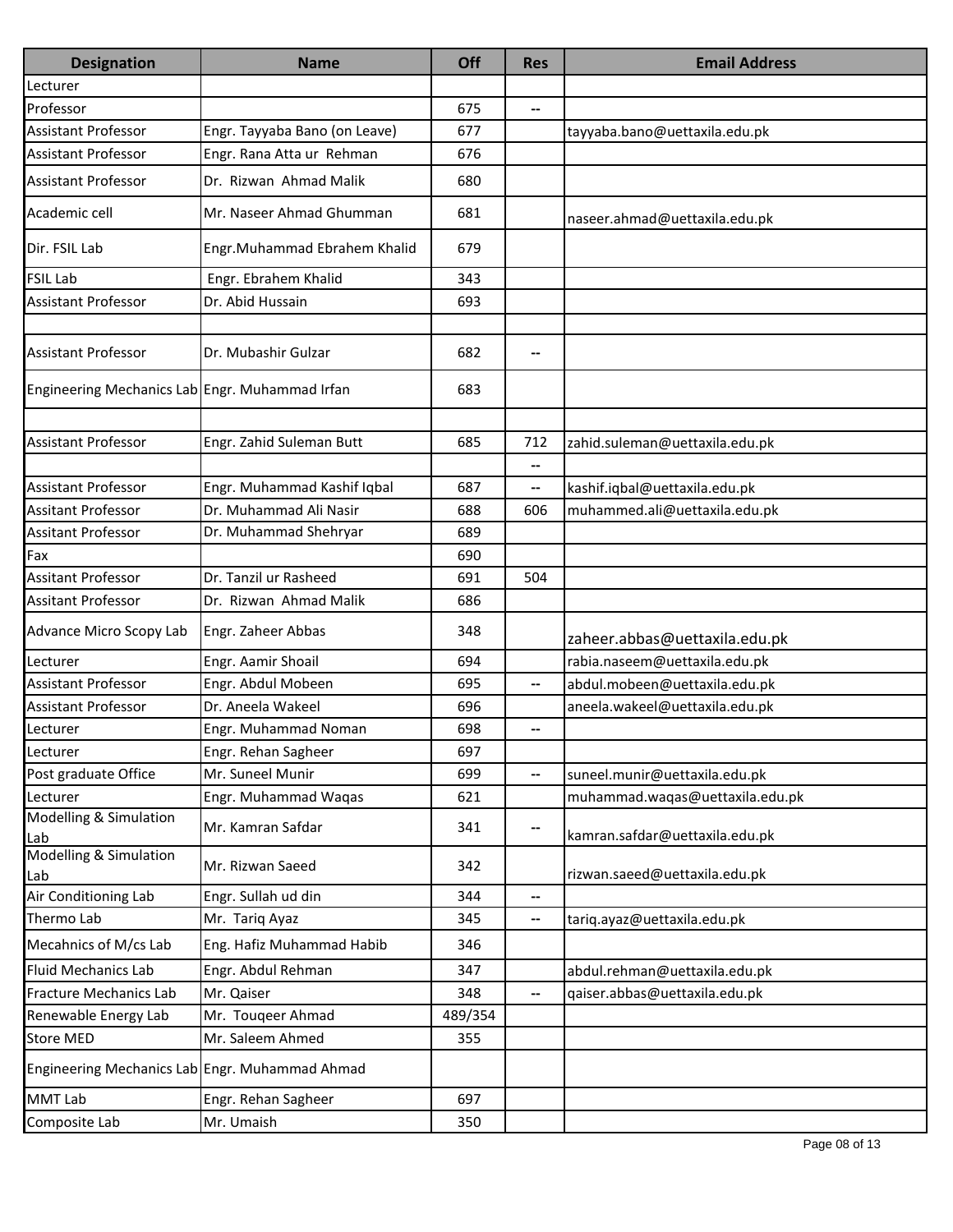| <b>Designation</b>                             | <b>Name</b>                   | Off     | <b>Res</b>               | <b>Email Address</b>            |
|------------------------------------------------|-------------------------------|---------|--------------------------|---------------------------------|
| Lecturer                                       |                               |         |                          |                                 |
| Professor                                      |                               | 675     | $\overline{\phantom{a}}$ |                                 |
| <b>Assistant Professor</b>                     | Engr. Tayyaba Bano (on Leave) | 677     |                          | tayyaba.bano@uettaxila.edu.pk   |
| <b>Assistant Professor</b>                     | Engr. Rana Atta ur Rehman     | 676     |                          |                                 |
| <b>Assistant Professor</b>                     | Dr. Rizwan Ahmad Malik        | 680     |                          |                                 |
| Academic cell                                  | Mr. Naseer Ahmad Ghumman      | 681     |                          | naseer.ahmad@uettaxila.edu.pk   |
| Dir. FSIL Lab                                  | Engr.Muhammad Ebrahem Khalid  | 679     |                          |                                 |
| <b>FSIL Lab</b>                                | Engr. Ebrahem Khalid          | 343     |                          |                                 |
| <b>Assistant Professor</b>                     | Dr. Abid Hussain              | 693     |                          |                                 |
|                                                |                               |         |                          |                                 |
| <b>Assistant Professor</b>                     | Dr. Mubashir Gulzar           | 682     | --                       |                                 |
| Engineering Mechanics Lab Engr. Muhammad Irfan |                               | 683     |                          |                                 |
|                                                |                               |         |                          |                                 |
| <b>Assistant Professor</b>                     | Engr. Zahid Suleman Butt      | 685     | 712                      | zahid.suleman@uettaxila.edu.pk  |
|                                                |                               |         | $\overline{\phantom{a}}$ |                                 |
| <b>Assistant Professor</b>                     | Engr. Muhammad Kashif Iqbal   | 687     | --                       | kashif.iqbal@uettaxila.edu.pk   |
| <b>Assitant Professor</b>                      | Dr. Muhammad Ali Nasir        | 688     | 606                      | muhammed.ali@uettaxila.edu.pk   |
| <b>Assitant Professor</b>                      | Dr. Muhammad Shehryar         | 689     |                          |                                 |
| Fax                                            |                               | 690     |                          |                                 |
| <b>Assitant Professor</b>                      | Dr. Tanzil ur Rasheed         | 691     | 504                      |                                 |
| <b>Assitant Professor</b>                      | Dr. Rizwan Ahmad Malik        | 686     |                          |                                 |
| Advance Micro Scopy Lab                        | Engr. Zaheer Abbas            | 348     |                          | zaheer.abbas@uettaxila.edu.pk   |
| Lecturer                                       | Engr. Aamir Shoail            | 694     |                          | rabia.naseem@uettaxila.edu.pk   |
| Assistant Professor                            | Engr. Abdul Mobeen            | 695     | --                       | abdul.mobeen@uettaxila.edu.pk   |
| <b>Assistant Professor</b>                     | Dr. Aneela Wakeel             | 696     |                          | aneela.wakeel@uettaxila.edu.pk  |
| Lecturer                                       | Engr. Muhammad Noman          | 698     | --                       |                                 |
| Lecturer                                       | Engr. Rehan Sagheer           | 697     |                          |                                 |
| Post graduate Office                           | Mr. Suneel Munir              | 699     | --                       | suneel.munir@uettaxila.edu.pk   |
| Lecturer                                       | Engr. Muhammad Waqas          | 621     |                          | muhammad.waqas@uettaxila.edu.pk |
| Modelling & Simulation<br>Lab                  | Mr. Kamran Safdar             | 341     | $\overline{\phantom{a}}$ | kamran.safdar@uettaxila.edu.pk  |
| Modelling & Simulation<br>Lab                  | Mr. Rizwan Saeed              | 342     |                          | rizwan.saeed@uettaxila.edu.pk   |
| Air Conditioning Lab                           | Engr. Sullah ud din           | 344     | $\overline{\phantom{a}}$ |                                 |
| Thermo Lab                                     | Mr. Tariq Ayaz                | 345     | $\overline{\phantom{a}}$ | tariq.ayaz@uettaxila.edu.pk     |
| Mecahnics of M/cs Lab                          | Eng. Hafiz Muhammad Habib     | 346     |                          |                                 |
| <b>Fluid Mechanics Lab</b>                     | Engr. Abdul Rehman            | 347     |                          | abdul.rehman@uettaxila.edu.pk   |
| <b>Fracture Mechanics Lab</b>                  | Mr. Qaiser                    | 348     | $\overline{\phantom{a}}$ | qaiser.abbas@uettaxila.edu.pk   |
| Renewable Energy Lab                           | Mr. Touqeer Ahmad             | 489/354 |                          |                                 |
| <b>Store MED</b>                               | Mr. Saleem Ahmed              | 355     |                          |                                 |
| Engineering Mechanics Lab Engr. Muhammad Ahmad |                               |         |                          |                                 |
| <b>MMT Lab</b>                                 | Engr. Rehan Sagheer           | 697     |                          |                                 |
| Composite Lab                                  | Mr. Umaish                    | 350     |                          |                                 |
|                                                |                               |         |                          |                                 |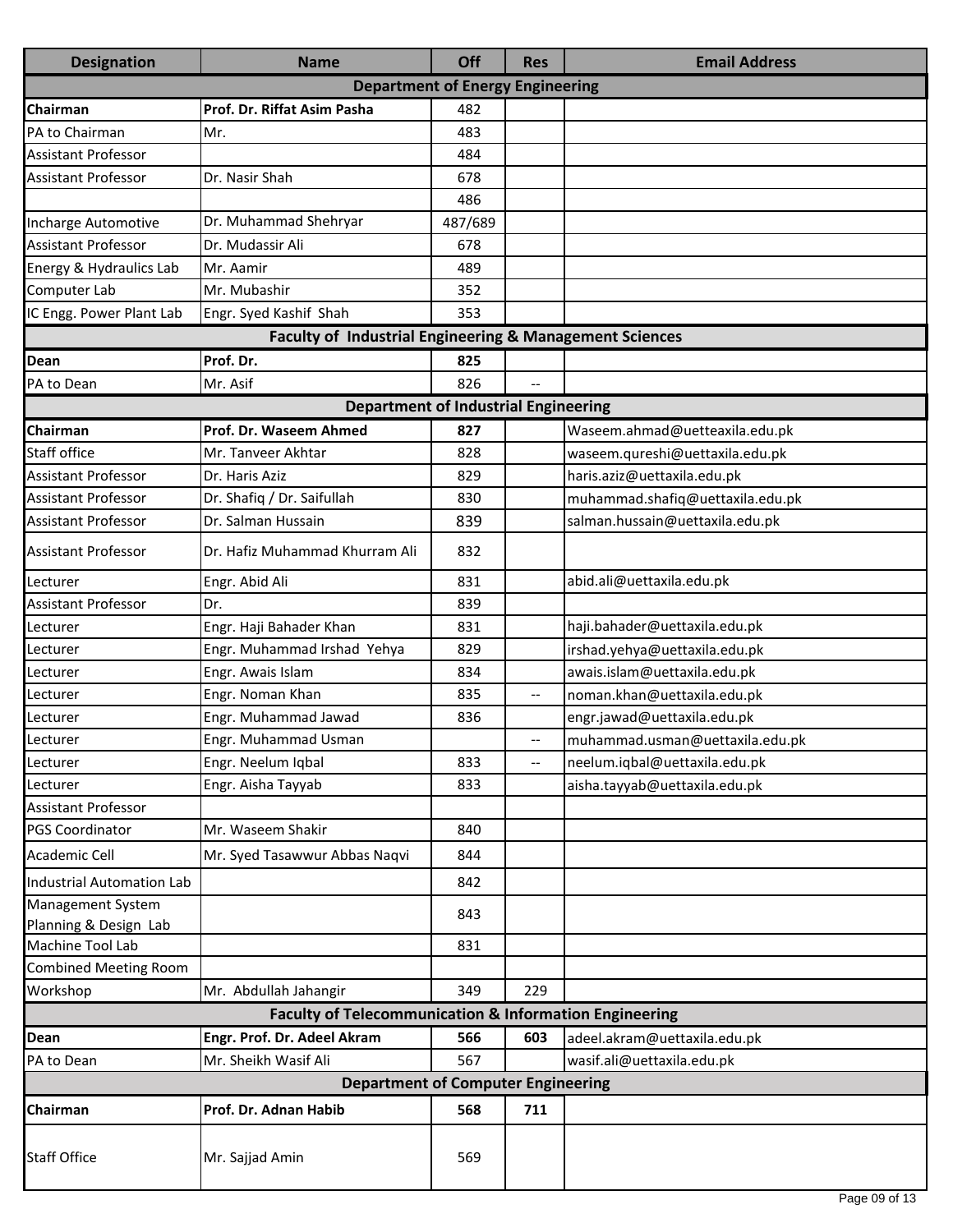| <b>Designation</b>                                      | <b>Name</b>                                                       | Off     | <b>Res</b>               | <b>Email Address</b>             |  |  |  |
|---------------------------------------------------------|-------------------------------------------------------------------|---------|--------------------------|----------------------------------|--|--|--|
|                                                         | <b>Department of Energy Engineering</b>                           |         |                          |                                  |  |  |  |
| Chairman                                                | Prof. Dr. Riffat Asim Pasha                                       | 482     |                          |                                  |  |  |  |
| PA to Chairman                                          | Mr.                                                               | 483     |                          |                                  |  |  |  |
| <b>Assistant Professor</b>                              |                                                                   | 484     |                          |                                  |  |  |  |
| <b>Assistant Professor</b>                              | Dr. Nasir Shah                                                    | 678     |                          |                                  |  |  |  |
|                                                         |                                                                   | 486     |                          |                                  |  |  |  |
| Incharge Automotive                                     | Dr. Muhammad Shehryar                                             | 487/689 |                          |                                  |  |  |  |
| <b>Assistant Professor</b>                              | Dr. Mudassir Ali                                                  | 678     |                          |                                  |  |  |  |
| Energy & Hydraulics Lab                                 | Mr. Aamir                                                         | 489     |                          |                                  |  |  |  |
| Computer Lab                                            | Mr. Mubashir                                                      | 352     |                          |                                  |  |  |  |
| IC Engg. Power Plant Lab                                | Engr. Syed Kashif Shah                                            | 353     |                          |                                  |  |  |  |
| Faculty of Industrial Engineering & Management Sciences |                                                                   |         |                          |                                  |  |  |  |
| <b>Dean</b>                                             | Prof. Dr.                                                         | 825     |                          |                                  |  |  |  |
| PA to Dean                                              | Mr. Asif                                                          | 826     | --                       |                                  |  |  |  |
|                                                         | <b>Department of Industrial Engineering</b>                       |         |                          |                                  |  |  |  |
| Chairman                                                | Prof. Dr. Waseem Ahmed                                            | 827     |                          | Waseem.ahmad@uetteaxila.edu.pk   |  |  |  |
| <b>Staff office</b>                                     | Mr. Tanveer Akhtar                                                | 828     |                          | waseem.qureshi@uettaxila.edu.pk  |  |  |  |
| <b>Assistant Professor</b>                              | Dr. Haris Aziz                                                    | 829     |                          | haris.aziz@uettaxila.edu.pk      |  |  |  |
| <b>Assistant Professor</b>                              | Dr. Shafiq / Dr. Saifullah                                        | 830     |                          | muhammad.shafiq@uettaxila.edu.pk |  |  |  |
| <b>Assistant Professor</b>                              | Dr. Salman Hussain                                                | 839     |                          | salman.hussain@uettaxila.edu.pk  |  |  |  |
| <b>Assistant Professor</b>                              | Dr. Hafiz Muhammad Khurram Ali                                    | 832     |                          |                                  |  |  |  |
| Lecturer                                                | Engr. Abid Ali                                                    | 831     |                          | abid.ali@uettaxila.edu.pk        |  |  |  |
| <b>Assistant Professor</b>                              | Dr.                                                               | 839     |                          |                                  |  |  |  |
| Lecturer                                                | Engr. Haji Bahader Khan                                           | 831     |                          | haji.bahader@uettaxila.edu.pk    |  |  |  |
| Lecturer                                                | Engr. Muhammad Irshad Yehya                                       | 829     |                          | irshad.yehya@uettaxila.edu.pk    |  |  |  |
| Lecturer                                                | Engr. Awais Islam                                                 | 834     |                          | awais.islam@uettaxila.edu.pk     |  |  |  |
| Lecturer                                                | Engr. Noman Khan                                                  | 835     | $\overline{\phantom{a}}$ | noman.khan@uettaxila.edu.pk      |  |  |  |
| Lecturer                                                | Engr. Muhammad Jawad                                              | 836     |                          | engr.jawad@uettaxila.edu.pk      |  |  |  |
| Lecturer                                                | Engr. Muhammad Usman                                              |         |                          | muhammad.usman@uettaxila.edu.pk  |  |  |  |
| Lecturer                                                | Engr. Neelum Iqbal                                                | 833     | $-$                      | neelum.iqbal@uettaxila.edu.pk    |  |  |  |
| Lecturer                                                | Engr. Aisha Tayyab                                                | 833     |                          | aisha.tayyab@uettaxila.edu.pk    |  |  |  |
| <b>Assistant Professor</b>                              |                                                                   |         |                          |                                  |  |  |  |
| <b>PGS Coordinator</b>                                  | Mr. Waseem Shakir                                                 | 840     |                          |                                  |  |  |  |
| Academic Cell                                           | Mr. Syed Tasawwur Abbas Naqvi                                     | 844     |                          |                                  |  |  |  |
| Industrial Automation Lab                               |                                                                   | 842     |                          |                                  |  |  |  |
| Management System                                       |                                                                   | 843     |                          |                                  |  |  |  |
| Planning & Design Lab                                   |                                                                   |         |                          |                                  |  |  |  |
| Machine Tool Lab                                        |                                                                   | 831     |                          |                                  |  |  |  |
| <b>Combined Meeting Room</b>                            |                                                                   |         |                          |                                  |  |  |  |
| Workshop                                                | Mr. Abdullah Jahangir                                             | 349     | 229                      |                                  |  |  |  |
|                                                         | <b>Faculty of Telecommunication &amp; Information Engineering</b> |         |                          |                                  |  |  |  |
| <b>Dean</b>                                             | Engr. Prof. Dr. Adeel Akram                                       | 566     | 603                      | adeel.akram@uettaxila.edu.pk     |  |  |  |
| PA to Dean                                              | Mr. Sheikh Wasif Ali                                              | 567     |                          | wasif.ali@uettaxila.edu.pk       |  |  |  |
|                                                         | <b>Department of Computer Engineering</b>                         |         |                          |                                  |  |  |  |
| Chairman                                                | Prof. Dr. Adnan Habib                                             | 568     | 711                      |                                  |  |  |  |
| <b>Staff Office</b>                                     | Mr. Sajjad Amin                                                   | 569     |                          |                                  |  |  |  |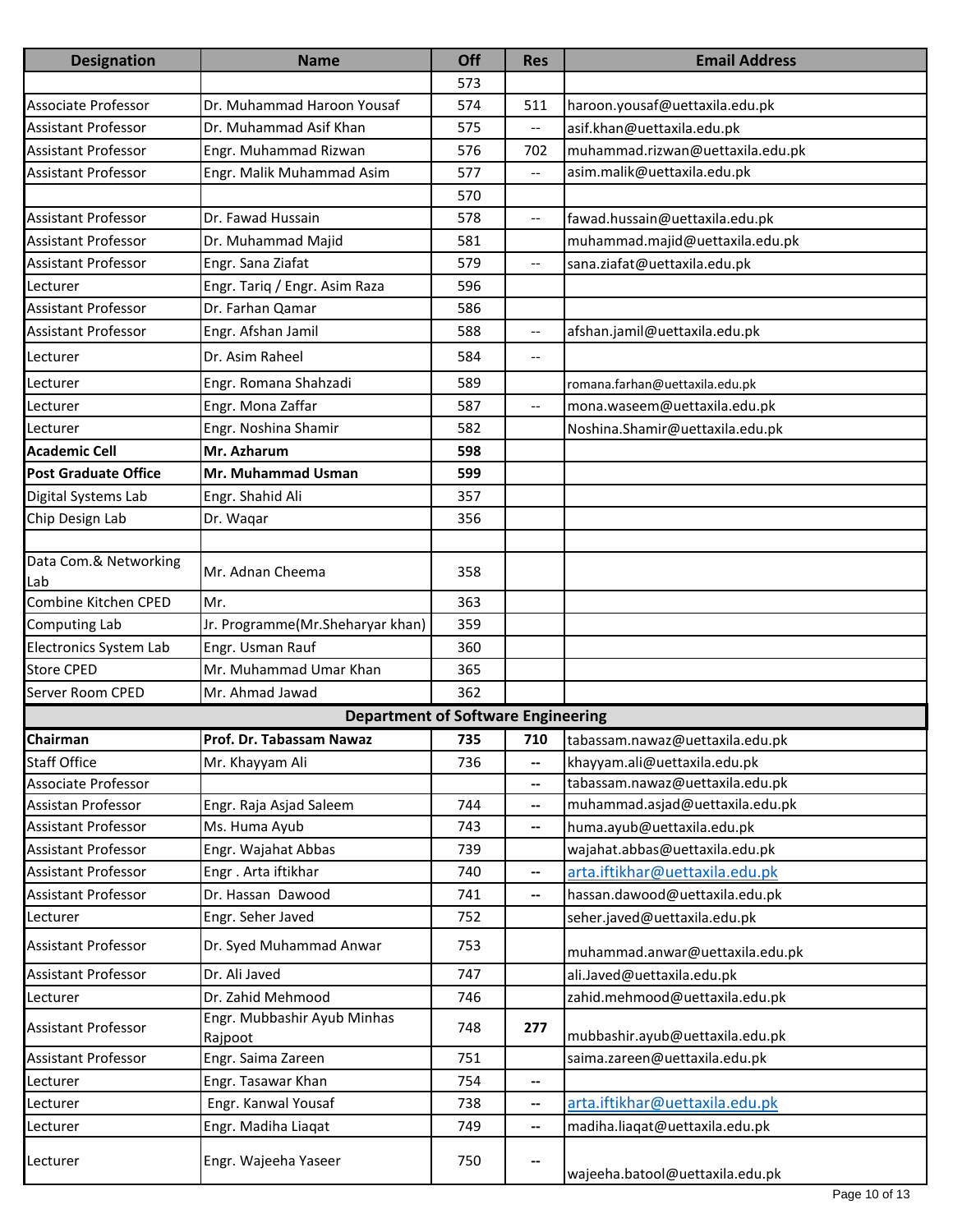| <b>Designation</b>          | <b>Name</b>                               | Off        | <b>Res</b>                                          | <b>Email Address</b>                  |
|-----------------------------|-------------------------------------------|------------|-----------------------------------------------------|---------------------------------------|
|                             |                                           | 573        |                                                     |                                       |
| Associate Professor         | Dr. Muhammad Haroon Yousaf                | 574        | 511                                                 | haroon.yousaf@uettaxila.edu.pk        |
| <b>Assistant Professor</b>  | Dr. Muhammad Asif Khan                    | 575        |                                                     | asif.khan@uettaxila.edu.pk            |
| <b>Assistant Professor</b>  | Engr. Muhammad Rizwan                     | 576        | 702                                                 | muhammad.rizwan@uettaxila.edu.pk      |
| <b>Assistant Professor</b>  | Engr. Malik Muhammad Asim                 | 577        | $\hspace{0.05cm} -\hspace{0.05cm} -\hspace{0.05cm}$ | asim.malik@uettaxila.edu.pk           |
|                             |                                           | 570        |                                                     |                                       |
| <b>Assistant Professor</b>  | Dr. Fawad Hussain                         | 578        | $\overline{\phantom{a}}$                            | fawad.hussain@uettaxila.edu.pk        |
| <b>Assistant Professor</b>  | Dr. Muhammad Majid                        | 581        |                                                     | muhammad.majid@uettaxila.edu.pk       |
| <b>Assistant Professor</b>  | Engr. Sana Ziafat                         | 579        | $\hspace{0.05cm} \ldots$                            | sana.ziafat@uettaxila.edu.pk          |
| Lecturer                    | Engr. Tariq / Engr. Asim Raza             | 596        |                                                     |                                       |
| <b>Assistant Professor</b>  | Dr. Farhan Qamar                          | 586        |                                                     |                                       |
| <b>Assistant Professor</b>  | Engr. Afshan Jamil                        | 588        | $\overline{\phantom{a}}$                            | afshan.jamil@uettaxila.edu.pk         |
| Lecturer                    | Dr. Asim Raheel                           | 584        | $\overline{\phantom{a}}$                            |                                       |
| Lecturer                    | Engr. Romana Shahzadi                     | 589        |                                                     | romana.farhan@uettaxila.edu.pk        |
| Lecturer                    | Engr. Mona Zaffar                         | 587        | $\hspace{0.05cm} -\hspace{0.05cm} -\hspace{0.05cm}$ | mona.waseem@uettaxila.edu.pk          |
| Lecturer                    | Engr. Noshina Shamir                      | 582        |                                                     | Noshina.Shamir@uettaxila.edu.pk       |
| <b>Academic Cell</b>        | Mr. Azharum                               | 598        |                                                     |                                       |
| <b>Post Graduate Office</b> | Mr. Muhammad Usman                        | 599        |                                                     |                                       |
| Digital Systems Lab         | Engr. Shahid Ali                          | 357        |                                                     |                                       |
| Chip Design Lab             | Dr. Waqar                                 | 356        |                                                     |                                       |
|                             |                                           |            |                                                     |                                       |
| Data Com.& Networking       |                                           |            |                                                     |                                       |
| Lab                         | Mr. Adnan Cheema                          | 358        |                                                     |                                       |
| Combine Kitchen CPED        | Mr.                                       | 363        |                                                     |                                       |
| Computing Lab               | Jr. Programme(Mr.Sheharyar khan)          | 359        |                                                     |                                       |
| Electronics System Lab      | Engr. Usman Rauf                          | 360        |                                                     |                                       |
| <b>Store CPED</b>           | Mr. Muhammad Umar Khan                    | 365        |                                                     |                                       |
| Server Room CPED            | Mr. Ahmad Jawad                           | 362        |                                                     |                                       |
|                             | <b>Department of Software Engineering</b> |            |                                                     |                                       |
| Chairman                    | Prof. Dr. Tabassam Nawaz                  | 735        |                                                     | 710   tabassam.nawaz@uettaxila.edu.pk |
| <b>Staff Office</b>         | Mr. Khayyam Ali                           | 736        | --                                                  | khayyam.ali@uettaxila.edu.pk          |
| Associate Professor         |                                           |            | ⊷                                                   | tabassam.nawaz@uettaxila.edu.pk       |
| Assistan Professor          | Engr. Raja Asjad Saleem                   | 744        | --                                                  | muhammad.asjad@uettaxila.edu.pk       |
| Assistant Professor         | Ms. Huma Ayub                             | 743        | $\hspace{0.05cm} \textbf{--}$                       | huma.ayub@uettaxila.edu.pk            |
| Assistant Professor         | Engr. Wajahat Abbas                       | 739        |                                                     | wajahat.abbas@uettaxila.edu.pk        |
| <b>Assistant Professor</b>  | Engr. Arta iftikhar                       | 740        | --                                                  | arta.iftikhar@uettaxila.edu.pk        |
| Assistant Professor         | Dr. Hassan Dawood                         | 741        | $\hspace{0.05cm} \textbf{--}$                       | hassan.dawood@uettaxila.edu.pk        |
| Lecturer                    | Engr. Seher Javed                         | 752        |                                                     | seher.javed@uettaxila.edu.pk          |
| Assistant Professor         | Dr. Syed Muhammad Anwar                   | 753        |                                                     | muhammad.anwar@uettaxila.edu.pk       |
| Assistant Professor         | Dr. Ali Javed                             | 747        |                                                     | ali.Javed@uettaxila.edu.pk            |
| Lecturer                    | Dr. Zahid Mehmood                         | 746        |                                                     | zahid.mehmood@uettaxila.edu.pk        |
| Assistant Professor         | Engr. Mubbashir Ayub Minhas               | 748        | 277                                                 |                                       |
|                             | Rajpoot                                   |            |                                                     | mubbashir.ayub@uettaxila.edu.pk       |
| Assistant Professor         | Engr. Saima Zareen<br>Engr. Tasawar Khan  | 751<br>754 |                                                     | saima.zareen@uettaxila.edu.pk         |
| Lecturer<br>Lecturer        | Engr. Kanwal Yousaf                       | 738        | --<br>$\overline{\phantom{a}}$                      | arta.iftikhar@uettaxila.edu.pk        |
| Lecturer                    | Engr. Madiha Liaqat                       | 749        | --                                                  | madiha.liaqat@uettaxila.edu.pk        |
|                             |                                           |            |                                                     |                                       |
| Lecturer                    | Engr. Wajeeha Yaseer                      | 750        | --                                                  | wajeeha.batool@uettaxila.edu.pk       |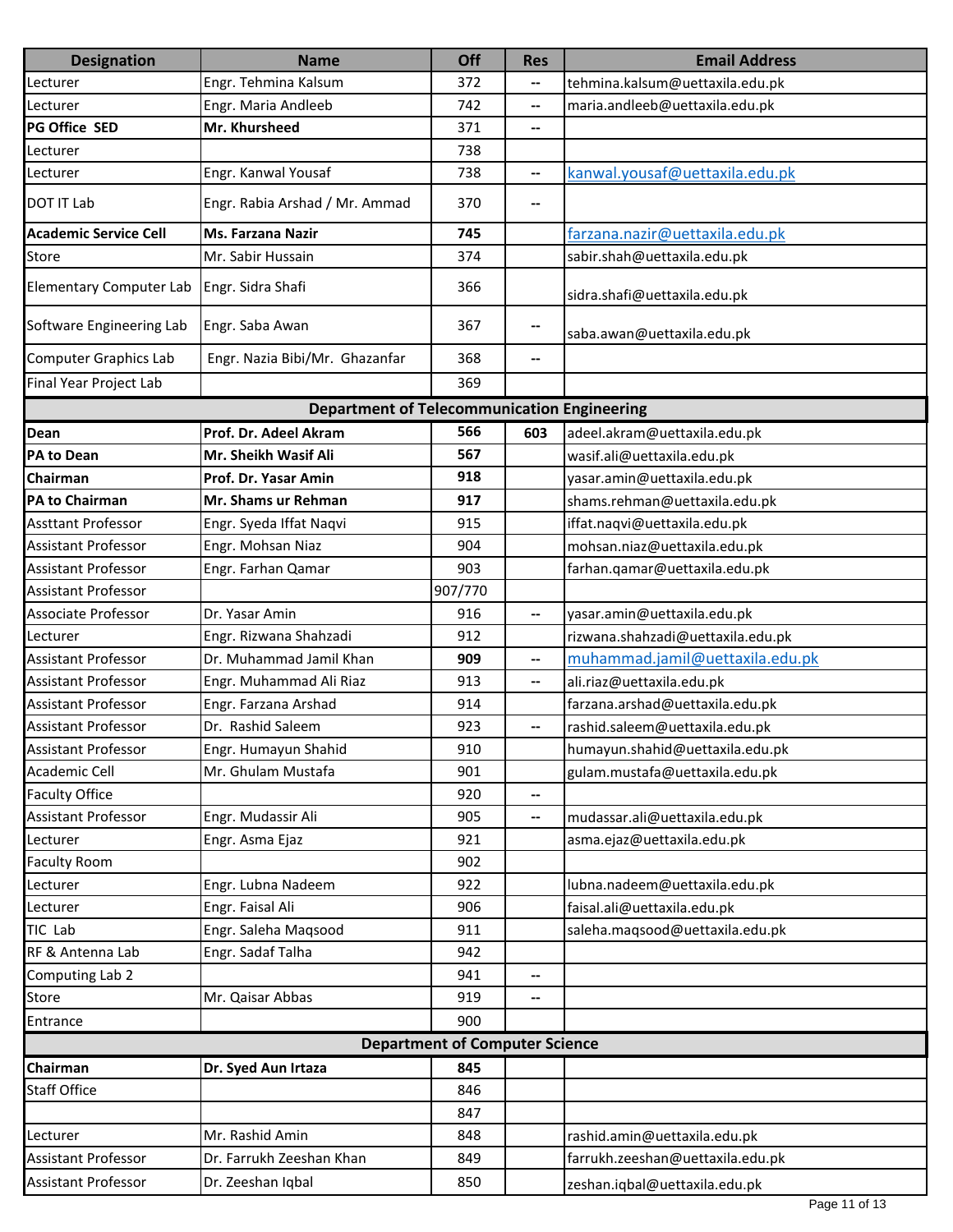| <b>Designation</b>             | <b>Name</b>                                        | Off                                   | <b>Res</b>               | <b>Email Address</b>              |
|--------------------------------|----------------------------------------------------|---------------------------------------|--------------------------|-----------------------------------|
| Lecturer                       | Engr. Tehmina Kalsum                               | 372                                   |                          | tehmina.kalsum@uettaxila.edu.pk   |
| Lecturer                       | Engr. Maria Andleeb                                | 742                                   | --                       | maria.andleeb@uettaxila.edu.pk    |
| <b>PG Office SED</b>           | Mr. Khursheed                                      | 371                                   | $\overline{\phantom{a}}$ |                                   |
| Lecturer                       |                                                    | 738                                   |                          |                                   |
| Lecturer                       | Engr. Kanwal Yousaf                                | 738                                   | --                       | kanwal.yousaf@uettaxila.edu.pk    |
| <b>DOT IT Lab</b>              | Engr. Rabia Arshad / Mr. Ammad                     | 370                                   | --                       |                                   |
| <b>Academic Service Cell</b>   | <b>Ms. Farzana Nazir</b>                           | 745                                   |                          | farzana.nazir@uettaxila.edu.pk    |
| Store                          | Mr. Sabir Hussain                                  | 374                                   |                          | sabir.shah@uettaxila.edu.pk       |
| <b>Elementary Computer Lab</b> | Engr. Sidra Shafi                                  | 366                                   |                          | sidra.shafi@uettaxila.edu.pk      |
| Software Engineering Lab       | Engr. Saba Awan                                    | 367                                   | --                       | saba.awan@uettaxila.edu.pk        |
| <b>Computer Graphics Lab</b>   | Engr. Nazia Bibi/Mr. Ghazanfar                     | 368                                   | --                       |                                   |
| Final Year Project Lab         |                                                    | 369                                   |                          |                                   |
|                                | <b>Department of Telecommunication Engineering</b> |                                       |                          |                                   |
| Dean                           | Prof. Dr. Adeel Akram                              | 566                                   | 603                      | adeel.akram@uettaxila.edu.pk      |
| <b>PA to Dean</b>              | Mr. Sheikh Wasif Ali                               | 567                                   |                          | wasif.ali@uettaxila.edu.pk        |
| Chairman                       | Prof. Dr. Yasar Amin                               | 918                                   |                          | yasar.amin@uettaxila.edu.pk       |
| <b>PA to Chairman</b>          | Mr. Shams ur Rehman                                | 917                                   |                          | shams.rehman@uettaxila.edu.pk     |
| <b>Assttant Professor</b>      | Engr. Syeda Iffat Naqvi                            | 915                                   |                          | iffat.naqvi@uettaxila.edu.pk      |
| <b>Assistant Professor</b>     | Engr. Mohsan Niaz                                  | 904                                   |                          | mohsan.niaz@uettaxila.edu.pk      |
| <b>Assistant Professor</b>     | Engr. Farhan Qamar                                 | 903                                   |                          | farhan.qamar@uettaxila.edu.pk     |
| <b>Assistant Professor</b>     |                                                    | 907/770                               |                          |                                   |
| <b>Associate Professor</b>     | Dr. Yasar Amin                                     | 916                                   | $\overline{\phantom{a}}$ | yasar.amin@uettaxila.edu.pk       |
| Lecturer                       | Engr. Rizwana Shahzadi                             | 912                                   |                          | rizwana.shahzadi@uettaxila.edu.pk |
| <b>Assistant Professor</b>     | Dr. Muhammad Jamil Khan                            | 909                                   | $\overline{\phantom{a}}$ | muhammad.jamil@uettaxila.edu.pk   |
| <b>Assistant Professor</b>     | Engr. Muhammad Ali Riaz                            | 913                                   | --                       | ali.riaz@uettaxila.edu.pk         |
| <b>Assistant Professor</b>     | Engr. Farzana Arshad                               | 914                                   |                          | farzana.arshad@uettaxila.edu.pk   |
| <b>Assistant Professor</b>     | Dr. Rashid Saleem                                  | 923                                   | --                       | rashid.saleem@uettaxila.edu.pk    |
| <b>Assistant Professor</b>     | Engr. Humayun Shahid                               | 910                                   |                          | humayun.shahid@uettaxila.edu.pk   |
| <b>Academic Cell</b>           | Mr. Ghulam Mustafa                                 | 901                                   |                          | gulam.mustafa@uettaxila.edu.pk    |
| <b>Faculty Office</b>          |                                                    | 920                                   | --                       |                                   |
| <b>Assistant Professor</b>     | Engr. Mudassir Ali                                 | 905                                   | $\overline{\phantom{a}}$ | mudassar.ali@uettaxila.edu.pk     |
| Lecturer                       | Engr. Asma Ejaz                                    | 921                                   |                          | asma.ejaz@uettaxila.edu.pk        |
| <b>Faculty Room</b>            |                                                    | 902                                   |                          |                                   |
| Lecturer                       | Engr. Lubna Nadeem                                 | 922                                   |                          | lubna.nadeem@uettaxila.edu.pk     |
| Lecturer                       | Engr. Faisal Ali                                   | 906                                   |                          | faisal.ali@uettaxila.edu.pk       |
| TIC Lab                        | Engr. Saleha Maqsood                               | 911                                   |                          | saleha.maqsood@uettaxila.edu.pk   |
| RF & Antenna Lab               | Engr. Sadaf Talha                                  | 942                                   |                          |                                   |
| Computing Lab 2                |                                                    | 941                                   | $\overline{\phantom{a}}$ |                                   |
| Store                          | Mr. Qaisar Abbas                                   | 919                                   | --                       |                                   |
| Entrance                       |                                                    | 900                                   |                          |                                   |
|                                |                                                    | <b>Department of Computer Science</b> |                          |                                   |
| Chairman                       | Dr. Syed Aun Irtaza                                | 845                                   |                          |                                   |
| <b>Staff Office</b>            |                                                    | 846                                   |                          |                                   |
|                                |                                                    | 847                                   |                          |                                   |
| Lecturer                       | Mr. Rashid Amin                                    | 848                                   |                          | rashid.amin@uettaxila.edu.pk      |
| <b>Assistant Professor</b>     | Dr. Farrukh Zeeshan Khan                           | 849                                   |                          | farrukh.zeeshan@uettaxila.edu.pk  |
| Assistant Professor            | Dr. Zeeshan Iqbal                                  | 850                                   |                          | zeshan.iqbal@uettaxila.edu.pk     |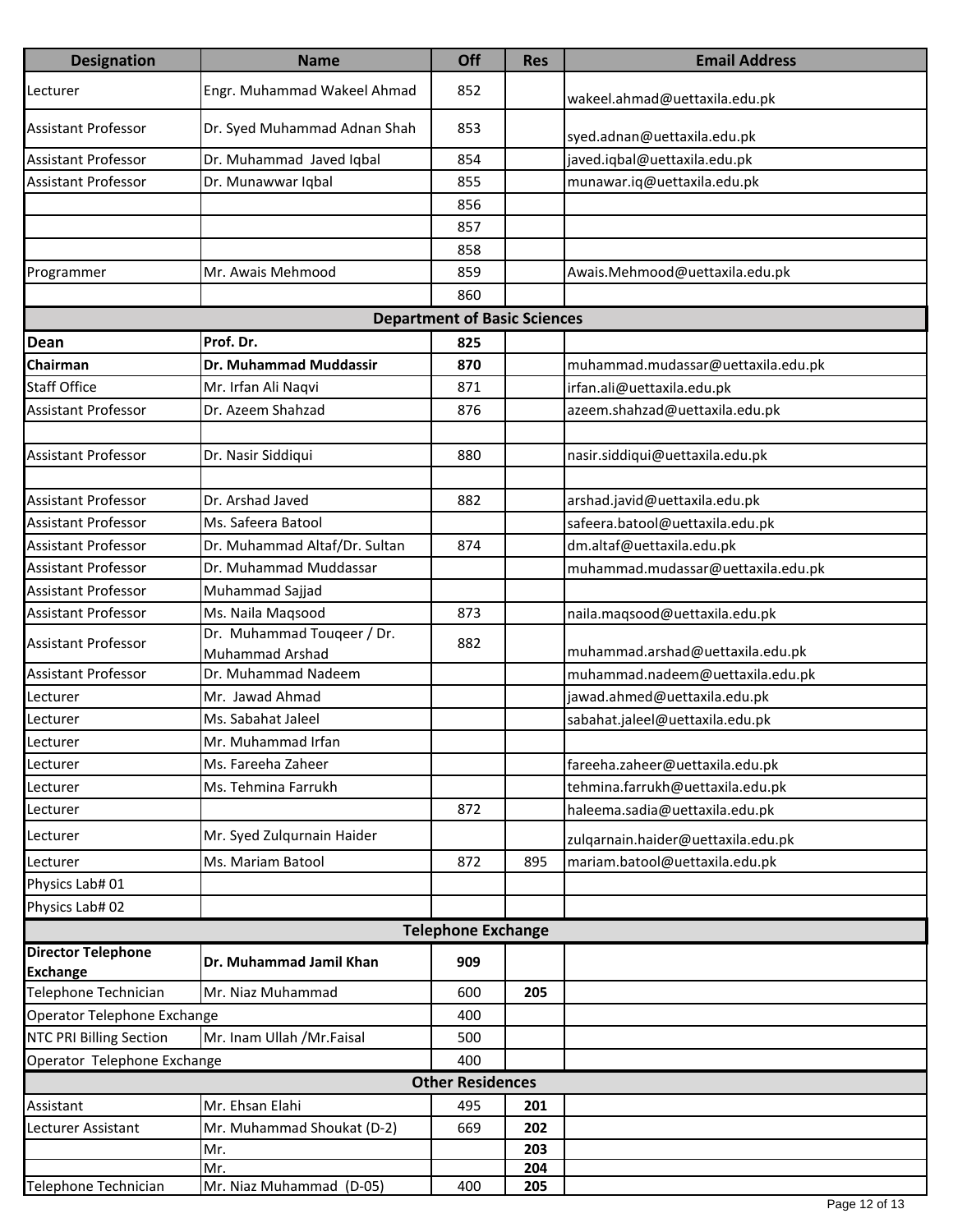| <b>Designation</b>                           | <b>Name</b>                                   | Off                                 | <b>Res</b> | <b>Email Address</b>               |  |  |
|----------------------------------------------|-----------------------------------------------|-------------------------------------|------------|------------------------------------|--|--|
| Lecturer                                     | Engr. Muhammad Wakeel Ahmad                   | 852                                 |            | wakeel.ahmad@uettaxila.edu.pk      |  |  |
| <b>Assistant Professor</b>                   | Dr. Syed Muhammad Adnan Shah                  | 853                                 |            | syed.adnan@uettaxila.edu.pk        |  |  |
| <b>Assistant Professor</b>                   | Dr. Muhammad Javed Iqbal                      | 854                                 |            | javed.iqbal@uettaxila.edu.pk       |  |  |
| <b>Assistant Professor</b>                   | Dr. Munawwar Iqbal                            | 855                                 |            | munawar.iq@uettaxila.edu.pk        |  |  |
|                                              |                                               | 856                                 |            |                                    |  |  |
|                                              |                                               | 857                                 |            |                                    |  |  |
|                                              |                                               | 858                                 |            |                                    |  |  |
| Programmer                                   | Mr. Awais Mehmood                             | 859                                 |            | Awais.Mehmood@uettaxila.edu.pk     |  |  |
|                                              |                                               | 860                                 |            |                                    |  |  |
|                                              |                                               | <b>Department of Basic Sciences</b> |            |                                    |  |  |
| Dean                                         | Prof. Dr.                                     | 825                                 |            |                                    |  |  |
| Chairman                                     | Dr. Muhammad Muddassir                        | 870                                 |            | muhammad.mudassar@uettaxila.edu.pk |  |  |
| <b>Staff Office</b>                          | Mr. Irfan Ali Naqvi                           | 871                                 |            | irfan.ali@uettaxila.edu.pk         |  |  |
| Assistant Professor                          | Dr. Azeem Shahzad                             | 876                                 |            | azeem.shahzad@uettaxila.edu.pk     |  |  |
|                                              |                                               |                                     |            |                                    |  |  |
| <b>Assistant Professor</b>                   | Dr. Nasir Siddiqui                            | 880                                 |            | nasir.siddiqui@uettaxila.edu.pk    |  |  |
|                                              |                                               |                                     |            |                                    |  |  |
| <b>Assistant Professor</b>                   | Dr. Arshad Javed                              | 882                                 |            | arshad.javid@uettaxila.edu.pk      |  |  |
| <b>Assistant Professor</b>                   | Ms. Safeera Batool                            |                                     |            | safeera.batool@uettaxila.edu.pk    |  |  |
| <b>Assistant Professor</b>                   | Dr. Muhammad Altaf/Dr. Sultan                 | 874                                 |            | dm.altaf@uettaxila.edu.pk          |  |  |
| Assistant Professor                          | Dr. Muhammad Muddassar                        |                                     |            | muhammad.mudassar@uettaxila.edu.pk |  |  |
| <b>Assistant Professor</b>                   | Muhammad Sajjad                               |                                     |            |                                    |  |  |
| <b>Assistant Professor</b>                   | Ms. Naila Maqsood                             | 873                                 |            | naila.maqsood@uettaxila.edu.pk     |  |  |
| <b>Assistant Professor</b>                   | Dr. Muhammad Touqeer / Dr.<br>Muhammad Arshad | 882                                 |            | muhammad.arshad@uettaxila.edu.pk   |  |  |
| <b>Assistant Professor</b>                   | Dr. Muhammad Nadeem                           |                                     |            | muhammad.nadeem@uettaxila.edu.pk   |  |  |
| Lecturer                                     | Mr. Jawad Ahmad                               |                                     |            | jawad.ahmed@uettaxila.edu.pk       |  |  |
| Lecturer                                     | Ms. Sabahat Jaleel                            |                                     |            | sabahat.jaleel@uettaxila.edu.pk    |  |  |
| Lecturer                                     | Mr. Muhammad Irfan                            |                                     |            |                                    |  |  |
| Lecturer                                     | Ms. Fareeha Zaheer                            |                                     |            | fareeha.zaheer@uettaxila.edu.pk    |  |  |
| Lecturer                                     | Ms. Tehmina Farrukh                           |                                     |            | tehmina.farrukh@uettaxila.edu.pk   |  |  |
| Lecturer                                     |                                               | 872                                 |            | haleema.sadia@uettaxila.edu.pk     |  |  |
| Lecturer                                     | Mr. Syed Zulqurnain Haider                    |                                     |            | zulgarnain.haider@uettaxila.edu.pk |  |  |
| Lecturer                                     | Ms. Mariam Batool                             | 872                                 | 895        | mariam.batool@uettaxila.edu.pk     |  |  |
| Physics Lab# 01                              |                                               |                                     |            |                                    |  |  |
| Physics Lab# 02                              |                                               |                                     |            |                                    |  |  |
|                                              |                                               | <b>Telephone Exchange</b>           |            |                                    |  |  |
| <b>Director Telephone</b><br><b>Exchange</b> | Dr. Muhammad Jamil Khan                       | 909                                 |            |                                    |  |  |
| Telephone Technician                         | Mr. Niaz Muhammad                             | 600                                 | 205        |                                    |  |  |
| Operator Telephone Exchange                  |                                               | 400                                 |            |                                    |  |  |
| <b>NTC PRI Billing Section</b>               | Mr. Inam Ullah /Mr.Faisal                     | 500                                 |            |                                    |  |  |
| Operator Telephone Exchange                  |                                               | 400                                 |            |                                    |  |  |
| <b>Other Residences</b>                      |                                               |                                     |            |                                    |  |  |
| Assistant                                    | Mr. Ehsan Elahi                               | 495                                 | 201        |                                    |  |  |
| Lecturer Assistant                           | Mr. Muhammad Shoukat (D-2)                    | 669                                 | 202        |                                    |  |  |
|                                              | Mr.                                           |                                     | 203        |                                    |  |  |
|                                              | Mr.                                           |                                     | 204        |                                    |  |  |
| Telephone Technician                         | Mr. Niaz Muhammad (D-05)                      | 400                                 | 205        |                                    |  |  |